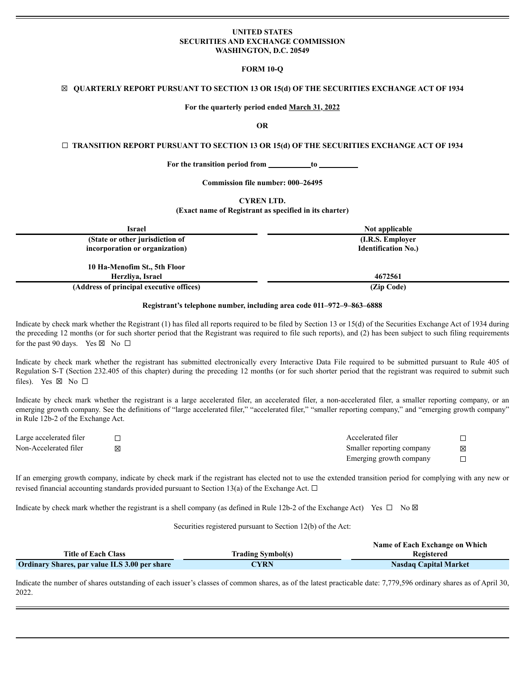## **UNITED STATES SECURITIES AND EXCHANGE COMMISSION WASHINGTON, D.C. 20549**

#### **FORM 10-Q**

## ☒ **QUARTERLY REPORT PURSUANT TO SECTION 13 OR 15(d) OF THE SECURITIES EXCHANGE ACT OF 1934**

#### **For the quarterly period ended March 31, 2022**

## **OR**

#### ☐ **TRANSITION REPORT PURSUANT TO SECTION 13 OR 15(d) OF THE SECURITIES EXCHANGE ACT OF 1934**

**For the transition period from to**

**Commission file number: 000–26495**

**CYREN LTD.**

#### **(Exact name of Registrant as specified in its charter)**

| Israel                                   | Not applicable             |
|------------------------------------------|----------------------------|
| (State or other jurisdiction of          | (I.R.S. Employer)          |
| incorporation or organization)           | <b>Identification No.)</b> |
|                                          |                            |
| 10 Ha-Menofim St., 5th Floor             |                            |
| Herzliva, Israel                         | 4672561                    |
| (Address of principal executive offices) | (Zip Code)                 |
|                                          |                            |

#### **Registrant's telephone number, including area code 011–972–9–863–6888**

Indicate by check mark whether the Registrant (1) has filed all reports required to be filed by Section 13 or 15(d) of the Securities Exchange Act of 1934 during the preceding 12 months (or for such shorter period that the Registrant was required to file such reports), and (2) has been subject to such filing requirements for the past 90 days. Yes  $\boxtimes$  No  $\Box$ 

Indicate by check mark whether the registrant has submitted electronically every Interactive Data File required to be submitted pursuant to Rule 405 of Regulation S-T (Section 232.405 of this chapter) during the preceding 12 months (or for such shorter period that the registrant was required to submit such files). Yes  $\boxtimes$  No  $\square$ 

Indicate by check mark whether the registrant is a large accelerated filer, an accelerated filer, a non-accelerated filer, a smaller reporting company, or an emerging growth company. See the definitions of "large accelerated filer," "accelerated filer," "smaller reporting company," and "emerging growth company" in Rule 12b-2 of the Exchange Act.

| Large accelerated filer |   | Accelerated filer         |   |
|-------------------------|---|---------------------------|---|
| Non-Accelerated filer   | K | Smaller reporting company | ⊠ |
|                         |   | Emerging growth company   |   |

If an emerging growth company, indicate by check mark if the registrant has elected not to use the extended transition period for complying with any new or revised financial accounting standards provided pursuant to Section 13(a) of the Exchange Act.  $\Box$ 

Indicate by check mark whether the registrant is a shell company (as defined in Rule 12b-2 of the Exchange Act) Yes  $\Box$  No  $\boxtimes$ 

Securities registered pursuant to Section 12(b) of the Act:

|                                                      |                          | Name of Each Exchange on Which |
|------------------------------------------------------|--------------------------|--------------------------------|
| <b>Title of Each Class</b>                           | <b>Trading Symbol(s)</b> | Registered                     |
| <b>Ordinary Shares, par value ILS 3.00 per share</b> | <b>CYRN</b>              | <b>Nasdaq Capital Market</b>   |

Indicate the number of shares outstanding of each issuer's classes of common shares, as of the latest practicable date: 7,779,596 ordinary shares as of April 30, 2022.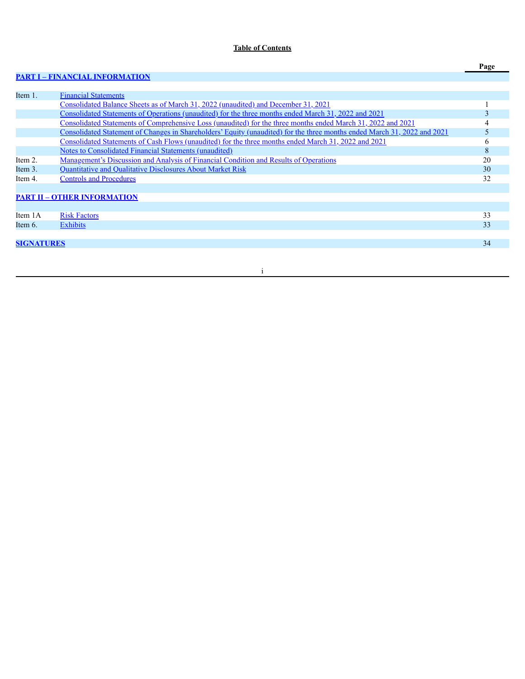# **Table of Contents**

# **PART I – FINANCIAL [INFORMATION](#page-3-0)**

| Item 1.           | <b>Financial Statements</b>                                                                                              |    |
|-------------------|--------------------------------------------------------------------------------------------------------------------------|----|
|                   | Consolidated Balance Sheets as of March 31, 2022 (unaudited) and December 31, 2021                                       |    |
|                   | Consolidated Statements of Operations (unaudited) for the three months ended March 31, 2022 and 2021                     |    |
|                   | Consolidated Statements of Comprehensive Loss (unaudited) for the three months ended March 31, 2022 and 2021             |    |
|                   | Consolidated Statement of Changes in Shareholders' Equity (unaudited) for the three months ended March 31, 2022 and 2021 |    |
|                   | Consolidated Statements of Cash Flows (unaudited) for the three months ended March 31, 2022 and 2021                     | O  |
|                   | <b>Notes to Consolidated Financial Statements (unaudited)</b>                                                            | 8  |
| Item 2.           | Management's Discussion and Analysis of Financial Condition and Results of Operations                                    | 20 |
| Item 3.           | Quantitative and Qualitative Disclosures About Market Risk                                                               | 30 |
| Item 4.           | <b>Controls and Procedures</b>                                                                                           | 32 |
|                   |                                                                                                                          |    |
|                   | <b>PART II - OTHER INFORMATION</b>                                                                                       |    |
|                   |                                                                                                                          |    |
| Item 1A           | <b>Risk Factors</b>                                                                                                      | 33 |
| Item 6.           | <b>Exhibits</b>                                                                                                          | 33 |
|                   |                                                                                                                          |    |
| <b>SIGNATURES</b> |                                                                                                                          | 34 |
|                   |                                                                                                                          |    |

i

**Page**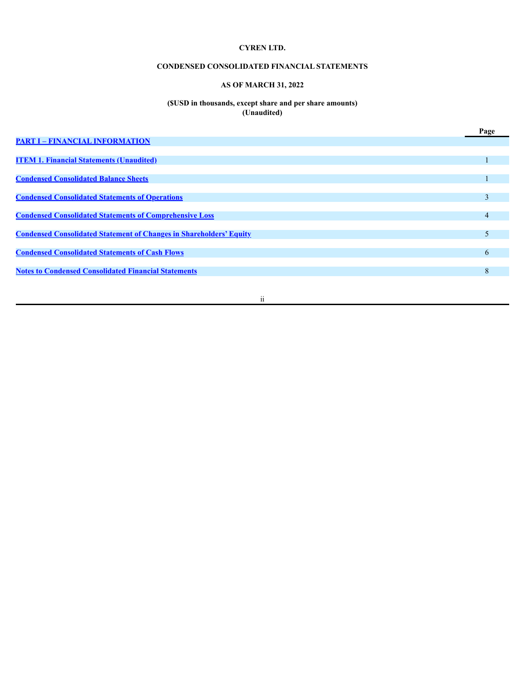# **CONDENSED CONSOLIDATED FINANCIAL STATEMENTS**

# **AS OF MARCH 31, 2022**

### **(\$USD in thousands, except share and per share amounts) (Unaudited)**

|                                                                            | Page |
|----------------------------------------------------------------------------|------|
| <b>PART I - FINANCIAL INFORMATION</b>                                      |      |
|                                                                            |      |
| <b>ITEM 1. Financial Statements (Unaudited)</b>                            |      |
|                                                                            |      |
| <b>Condensed Consolidated Balance Sheets</b>                               |      |
|                                                                            |      |
| <b>Condensed Consolidated Statements of Operations</b>                     | 3    |
|                                                                            |      |
| <b>Condensed Consolidated Statements of Comprehensive Loss</b>             | 4    |
|                                                                            |      |
| <b>Condensed Consolidated Statement of Changes in Shareholders' Equity</b> | 5    |
|                                                                            |      |
| <b>Condensed Consolidated Statements of Cash Flows</b>                     | 6    |
|                                                                            |      |
| <b>Notes to Condensed Consolidated Financial Statements</b>                | 8    |
|                                                                            |      |

ii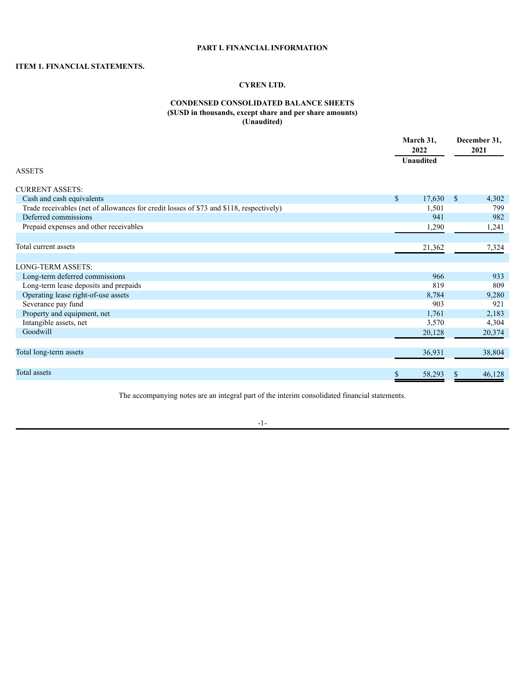# **PART I. FINANCIAL INFORMATION**

# <span id="page-3-1"></span><span id="page-3-0"></span>**ITEM 1. FINANCIAL STATEMENTS.**

# **CYREN LTD.**

# **CONDENSED CONSOLIDATED BALANCE SHEETS (\$USD in thousands, except share and per share amounts) (Unaudited)**

<span id="page-3-2"></span>

|                                                                                         | March 31,<br>2022 | December 31,<br>2021 |
|-----------------------------------------------------------------------------------------|-------------------|----------------------|
|                                                                                         | <b>Unaudited</b>  |                      |
| <b>ASSETS</b>                                                                           |                   |                      |
| <b>CURRENT ASSETS:</b>                                                                  |                   |                      |
| Cash and cash equivalents                                                               | \$<br>17,630      | \$<br>4,302          |
| Trade receivables (net of allowances for credit losses of \$73 and \$118, respectively) | 1,501             | 799                  |
| Deferred commissions                                                                    | 941               | 982                  |
| Prepaid expenses and other receivables                                                  | 1,290             | 1,241                |
|                                                                                         |                   |                      |
| Total current assets                                                                    | 21,362            | 7,324                |
|                                                                                         |                   |                      |
| LONG-TERM ASSETS:                                                                       |                   |                      |
| Long-term deferred commissions                                                          | 966               | 933                  |
| Long-term lease deposits and prepaids                                                   | 819               | 809                  |
| Operating lease right-of-use assets                                                     | 8,784             | 9,280                |
| Severance pay fund                                                                      | 903               | 921                  |
| Property and equipment, net                                                             | 1,761             | 2,183                |
| Intangible assets, net                                                                  | 3,570             | 4,304                |
| Goodwill                                                                                | 20,128            | 20,374               |
|                                                                                         |                   |                      |
| Total long-term assets                                                                  | 36,931            | 38,804               |
|                                                                                         |                   |                      |
| Total assets                                                                            | \$<br>58,293      | 46,128<br>S          |
|                                                                                         |                   |                      |

The accompanying notes are an integral part of the interim consolidated financial statements.

-1-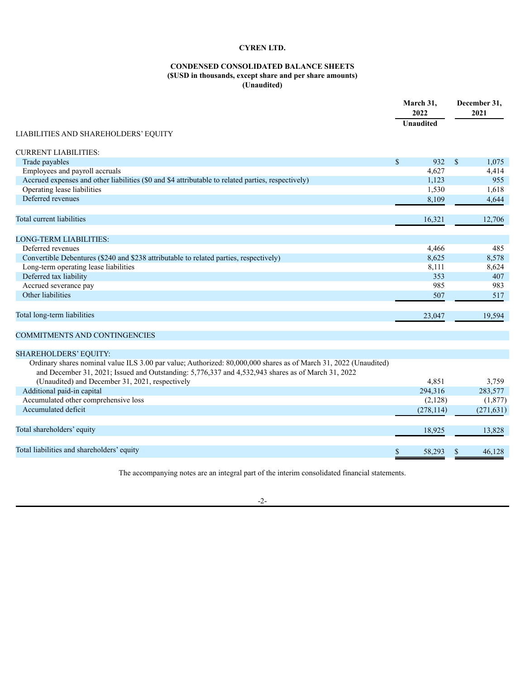# **CONDENSED CONSOLIDATED BALANCE SHEETS (\$USD in thousands, except share and per share amounts) (Unaudited)**

|                                                                                                                                                                                                                        |               | March 31,<br>2022 |              | December 31,<br>2021 |
|------------------------------------------------------------------------------------------------------------------------------------------------------------------------------------------------------------------------|---------------|-------------------|--------------|----------------------|
|                                                                                                                                                                                                                        |               | Unaudited         |              |                      |
| <b>LIABILITIES AND SHAREHOLDERS' EQUITY</b>                                                                                                                                                                            |               |                   |              |                      |
| <b>CURRENT LIABILITIES:</b>                                                                                                                                                                                            |               |                   |              |                      |
| Trade payables                                                                                                                                                                                                         | $\sqrt{\ }$   | 932               | $\mathbf{s}$ | 1,075                |
| Employees and payroll accruals                                                                                                                                                                                         |               | 4,627             |              | 4,414                |
| Accrued expenses and other liabilities (\$0 and \$4 attributable to related parties, respectively)                                                                                                                     |               | 1,123             |              | 955                  |
| Operating lease liabilities                                                                                                                                                                                            |               | 1,530             |              | 1,618                |
| Deferred revenues                                                                                                                                                                                                      |               | 8,109             |              | 4,644                |
| Total current liabilities                                                                                                                                                                                              |               | 16,321            |              | 12,706               |
|                                                                                                                                                                                                                        |               |                   |              |                      |
| <b>LONG-TERM LIABILITIES:</b>                                                                                                                                                                                          |               |                   |              |                      |
| Deferred revenues                                                                                                                                                                                                      |               | 4,466             |              | 485                  |
| Convertible Debentures (\$240 and \$238 attributable to related parties, respectively)                                                                                                                                 |               | 8,625             |              | 8,578                |
| Long-term operating lease liabilities                                                                                                                                                                                  |               | 8,111             |              | 8,624                |
| Deferred tax liability                                                                                                                                                                                                 |               | 353               |              | 407                  |
| Accrued severance pay                                                                                                                                                                                                  |               | 985               |              | 983                  |
| Other liabilities                                                                                                                                                                                                      |               | 507               |              | 517                  |
| Total long-term liabilities                                                                                                                                                                                            |               | 23,047            |              | 19,594               |
| COMMITMENTS AND CONTINGENCIES                                                                                                                                                                                          |               |                   |              |                      |
| <b>SHAREHOLDERS' EQUITY:</b>                                                                                                                                                                                           |               |                   |              |                      |
| Ordinary shares nominal value ILS 3.00 par value; Authorized: 80,000,000 shares as of March 31, 2022 (Unaudited)<br>and December 31, 2021; Issued and Outstanding: 5,776,337 and 4,532,943 shares as of March 31, 2022 |               |                   |              |                      |
| (Unaudited) and December 31, 2021, respectively                                                                                                                                                                        |               | 4,851             |              | 3,759                |
| Additional paid-in capital                                                                                                                                                                                             |               | 294,316           |              | 283,577              |
| Accumulated other comprehensive loss                                                                                                                                                                                   |               | (2,128)           |              | (1, 877)             |
| Accumulated deficit                                                                                                                                                                                                    |               | (278, 114)        |              | (271, 631)           |
| Total shareholders' equity                                                                                                                                                                                             |               | 18,925            |              | 13,828               |
| Total liabilities and shareholders' equity                                                                                                                                                                             | $\mathcal{S}$ | 58,293            | \$           | 46,128               |

The accompanying notes are an integral part of the interim consolidated financial statements.

-2-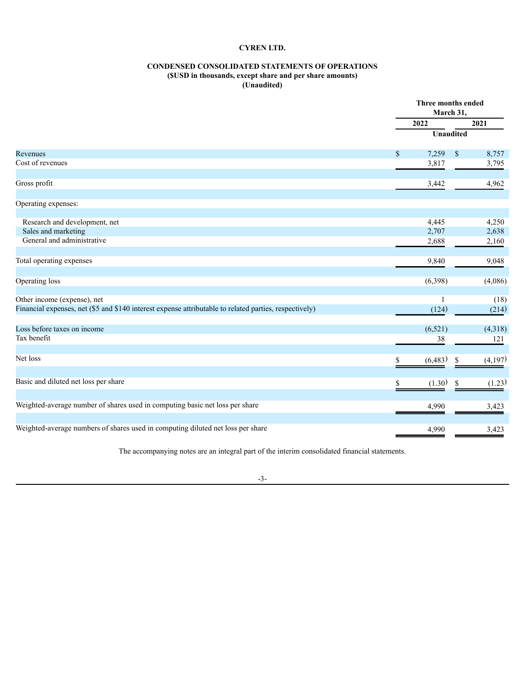# **CONDENSED CONSOLIDATED STATEMENTS OF OPERATIONS**

#### **(\$USD in thousands, except share and per share amounts) (Unaudited)**

<span id="page-5-0"></span>

|                                                                                                        |              | Three months ended<br>March 31, |                  |         |  |
|--------------------------------------------------------------------------------------------------------|--------------|---------------------------------|------------------|---------|--|
|                                                                                                        |              | 2022                            |                  | 2021    |  |
|                                                                                                        |              |                                 | <b>Unaudited</b> |         |  |
| Revenues                                                                                               | $\mathbb{S}$ | 7,259                           | $\$$             | 8,757   |  |
| Cost of revenues                                                                                       |              | 3,817                           |                  | 3,795   |  |
| Gross profit                                                                                           |              | 3,442                           |                  | 4,962   |  |
| Operating expenses:                                                                                    |              |                                 |                  |         |  |
| Research and development, net                                                                          |              | 4,445                           |                  | 4,250   |  |
| Sales and marketing                                                                                    |              | 2,707                           |                  | 2,638   |  |
| General and administrative                                                                             |              | 2,688                           |                  | 2,160   |  |
| Total operating expenses                                                                               |              | 9,840                           |                  | 9,048   |  |
| Operating loss                                                                                         |              | (6,398)                         |                  | (4,086) |  |
| Other income (expense), net                                                                            |              |                                 |                  | (18)    |  |
| Financial expenses, net (\$5 and \$140 interest expense attributable to related parties, respectively) |              | (124)                           |                  | (214)   |  |
| Loss before taxes on income                                                                            |              | (6, 521)                        |                  | (4,318) |  |
| Tax benefit                                                                                            |              | 38                              |                  | 121     |  |
| Net loss                                                                                               | \$           | (6, 483)                        | \$               | (4,197) |  |
| Basic and diluted net loss per share                                                                   |              | (1.30)                          | \$               | (1.23)  |  |
| Weighted-average number of shares used in computing basic net loss per share                           |              | 4,990                           |                  | 3,423   |  |
|                                                                                                        |              |                                 |                  |         |  |
| Weighted-average numbers of shares used in computing diluted net loss per share                        |              | 4,990                           |                  | 3,423   |  |

The accompanying notes are an integral part of the interim consolidated financial statements.

# -3-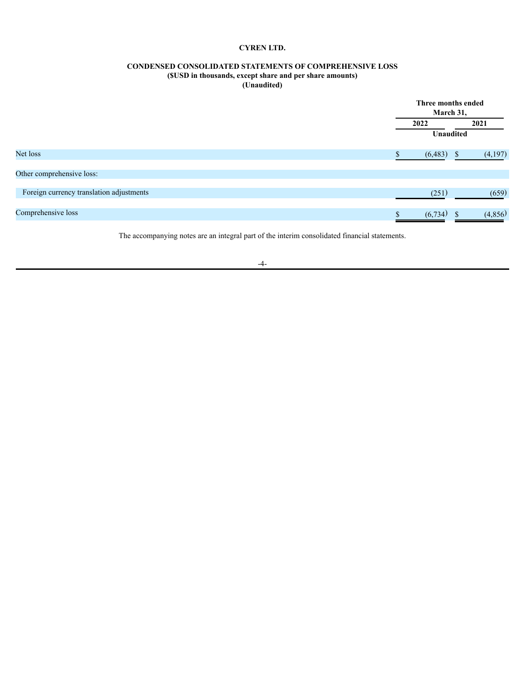# **CONDENSED CONSOLIDATED STATEMENTS OF COMPREHENSIVE LOSS**

# **(\$USD in thousands, except share and per share amounts)**

**(Unaudited)**

<span id="page-6-0"></span>

|                                          |          | Three months ended<br>March 31, |
|------------------------------------------|----------|---------------------------------|
|                                          | 2022     | 2021                            |
|                                          |          | <b>Unaudited</b>                |
| Net loss                                 | (6, 483) | (4,197)<br><sup>S</sup>         |
| Other comprehensive loss:                |          |                                 |
| Foreign currency translation adjustments |          | (659)<br>(251)                  |
| Comprehensive loss                       | (6, 734) | (4, 856)                        |

The accompanying notes are an integral part of the interim consolidated financial statements.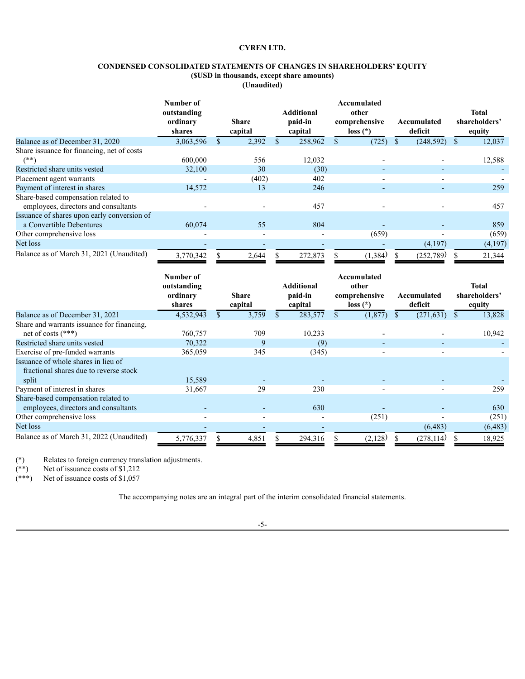# **CONDENSED CONSOLIDATED STATEMENTS OF CHANGES IN SHAREHOLDERS' EQUITY**

**(\$USD in thousands, except share amounts)**

| (Unaudited) |  |
|-------------|--|
|-------------|--|

<span id="page-7-0"></span>

|                                                                             | Number of<br>outstanding<br>ordinary<br>shares | <b>Share</b><br>capital | <b>Additional</b><br>paid-in<br>capital | Accumulated<br>other<br>comprehensive<br>$loss(*)$ | Accumulated<br>deficit | <b>Total</b><br>shareholders'<br>equity |
|-----------------------------------------------------------------------------|------------------------------------------------|-------------------------|-----------------------------------------|----------------------------------------------------|------------------------|-----------------------------------------|
| Balance as of December 31, 2020                                             | 3,063,596                                      | 2,392                   | 258,962                                 | (725)                                              | (248, 592)             | 12,037                                  |
| Share issuance for financing, net of costs<br>$(**)$                        | 600,000                                        | 556                     | 12,032                                  |                                                    |                        | 12,588                                  |
| Restricted share units vested                                               | 32,100                                         | 30                      | (30)                                    |                                                    |                        |                                         |
| Placement agent warrants                                                    |                                                | (402)                   | 402                                     |                                                    |                        |                                         |
| Payment of interest in shares                                               | 14,572                                         | 13                      | 246                                     | $\overline{\phantom{0}}$                           |                        | 259                                     |
| Share-based compensation related to<br>employees, directors and consultants |                                                |                         | 457                                     |                                                    |                        | 457                                     |
| Issuance of shares upon early conversion of                                 |                                                |                         |                                         |                                                    |                        |                                         |
| a Convertible Debentures                                                    | 60,074                                         | 55                      | 804                                     |                                                    |                        | 859                                     |
| Other comprehensive loss                                                    | $\overline{\phantom{0}}$                       |                         |                                         | (659)                                              |                        | (659)                                   |
| Net loss                                                                    |                                                |                         |                                         |                                                    | (4,197)                | (4,197)                                 |
| Balance as of March 31, 2021 (Unaudited)                                    | 3,770,342                                      | 2,644                   | 272,873                                 | (1, 384)                                           | (252,789)              | 21,344                                  |

|                                                                                        | Number of<br>outstanding<br>ordinary<br>shares | Share<br>capital |    | <b>Additional</b><br>paid-in<br>capital | Accumulated<br>other<br>comprehensive<br>$loss(*)$ |    | Accumulated<br>deficit | Total<br>shareholders'<br>equity |
|----------------------------------------------------------------------------------------|------------------------------------------------|------------------|----|-----------------------------------------|----------------------------------------------------|----|------------------------|----------------------------------|
| Balance as of December 31, 2021                                                        | 4,532,943                                      | 3,759            | S. | 283,577                                 | (1,877)                                            | S. | (271, 631)             | 13,828                           |
| Share and warrants issuance for financing.<br>net of costs $(***)$                     | 760,757                                        | 709              |    | 10,233                                  |                                                    |    |                        | 10,942                           |
| Restricted share units vested                                                          | 70,322                                         | 9                |    | (9)                                     |                                                    |    |                        |                                  |
| Exercise of pre-funded warrants                                                        | 365,059                                        | 345              |    | (345)                                   |                                                    |    |                        |                                  |
| Issuance of whole shares in lieu of<br>fractional shares due to reverse stock<br>split | 15,589                                         |                  |    |                                         |                                                    |    |                        |                                  |
| Payment of interest in shares                                                          | 31,667                                         | 29               |    | 230                                     |                                                    |    |                        | 259                              |
| Share-based compensation related to<br>employees, directors and consultants            |                                                |                  |    | 630                                     |                                                    |    |                        | 630                              |
| Other comprehensive loss                                                               |                                                |                  |    |                                         | (251)                                              |    |                        | (251)                            |
| Net loss                                                                               |                                                |                  |    |                                         |                                                    |    | (6, 483)               | (6, 483)                         |
| Balance as of March 31, 2022 (Unaudited)                                               | 5,776,337                                      | 4,851            |    | 294,316                                 | (2,128)                                            |    | (278, 114)             | 18,925                           |

(\*) Relates to foreign currency translation adjustments.

(\*\*) Net of issuance costs of \$1,212

(\*\*\*) Net of issuance costs of \$1,057

The accompanying notes are an integral part of the interim consolidated financial statements.

-5-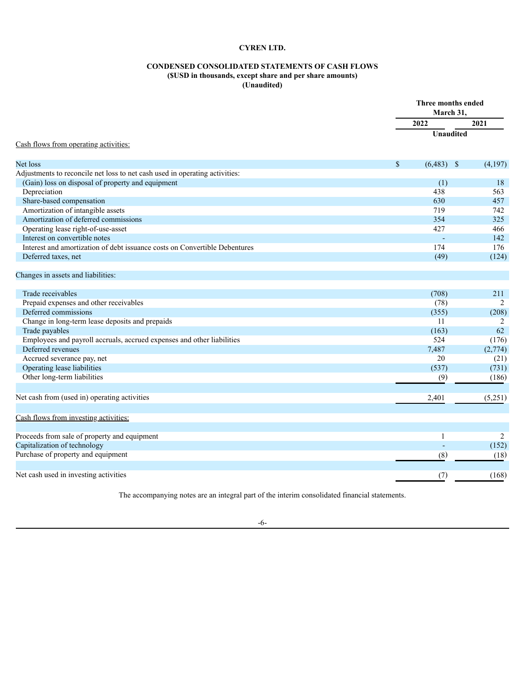# **CONDENSED CONSOLIDATED STATEMENTS OF CASH FLOWS (\$USD in thousands, except share and per share amounts) (Unaudited)**

<span id="page-8-0"></span>

|                                                                             |              | Three months ended<br>March 31, |         |  |
|-----------------------------------------------------------------------------|--------------|---------------------------------|---------|--|
|                                                                             | 2022         |                                 | 2021    |  |
| Cash flows from operating activities:                                       |              | Unaudited                       |         |  |
|                                                                             |              |                                 |         |  |
| Net loss                                                                    | $\mathbb{S}$ | $(6,483)$ \$                    | (4,197) |  |
| Adjustments to reconcile net loss to net cash used in operating activities: |              |                                 |         |  |
| (Gain) loss on disposal of property and equipment                           |              | (1)                             | 18      |  |
| Depreciation                                                                |              | 438                             | 563     |  |
| Share-based compensation                                                    |              | 630                             | 457     |  |
| Amortization of intangible assets                                           |              | 719                             | 742     |  |
| Amortization of deferred commissions                                        |              | 354                             | 325     |  |
| Operating lease right-of-use-asset                                          |              | 427                             | 466     |  |
| Interest on convertible notes                                               |              | $\mathbf{r}$                    | 142     |  |
| Interest and amortization of debt issuance costs on Convertible Debentures  |              | 174                             | 176     |  |
| Deferred taxes, net                                                         |              | (49)                            | (124)   |  |
| Changes in assets and liabilities:                                          |              |                                 |         |  |
| Trade receivables                                                           |              | (708)                           | 211     |  |
| Prepaid expenses and other receivables                                      |              | (78)                            | 2       |  |
| Deferred commissions                                                        |              | (355)                           | (208)   |  |
| Change in long-term lease deposits and prepaids                             |              | 11                              | 2       |  |
| Trade payables                                                              |              | (163)                           | 62      |  |
| Employees and payroll accruals, accrued expenses and other liabilities      |              | 524                             | (176)   |  |
| Deferred revenues                                                           |              | 7,487                           | (2,774) |  |
| Accrued severance pay, net                                                  |              | 20                              | (21)    |  |
| Operating lease liabilities                                                 |              | (537)                           | (731)   |  |
| Other long-term liabilities                                                 |              | (9)                             | (186)   |  |
| Net cash from (used in) operating activities                                |              | 2,401                           | (5,251) |  |
| Cash flows from investing activities:                                       |              |                                 |         |  |
| Proceeds from sale of property and equipment                                |              | 1                               | 2       |  |
| Capitalization of technology                                                |              | $\overline{\phantom{a}}$        | (152)   |  |
| Purchase of property and equipment                                          |              | (8)                             | (18)    |  |
| Net cash used in investing activities                                       |              | (7)                             | (168)   |  |

The accompanying notes are an integral part of the interim consolidated financial statements.

-6-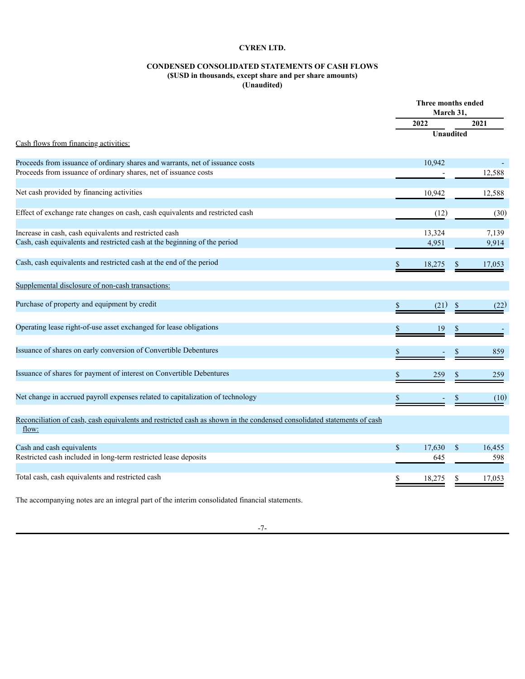# **CONDENSED CONSOLIDATED STATEMENTS OF CASH FLOWS (\$USD in thousands, except share and per share amounts) (Unaudited)**

|                                                                                                                                 | Three months ended<br>March 31, |                  |    |        |
|---------------------------------------------------------------------------------------------------------------------------------|---------------------------------|------------------|----|--------|
|                                                                                                                                 |                                 | 2022             |    | 2021   |
| Cash flows from financing activities:                                                                                           |                                 | <b>Unaudited</b> |    |        |
| Proceeds from issuance of ordinary shares and warrants, net of issuance costs                                                   |                                 | 10,942           |    |        |
| Proceeds from issuance of ordinary shares, net of issuance costs                                                                |                                 |                  |    | 12,588 |
| Net cash provided by financing activities                                                                                       |                                 | 10,942           |    | 12,588 |
| Effect of exchange rate changes on cash, cash equivalents and restricted cash                                                   |                                 | (12)             |    | (30)   |
| Increase in cash, cash equivalents and restricted cash                                                                          |                                 | 13,324           |    | 7,139  |
| Cash, cash equivalents and restricted cash at the beginning of the period                                                       |                                 | 4,951            |    | 9,914  |
| Cash, cash equivalents and restricted cash at the end of the period                                                             | \$                              | 18,275           | \$ | 17,053 |
| Supplemental disclosure of non-cash transactions:                                                                               |                                 |                  |    |        |
| Purchase of property and equipment by credit                                                                                    | \$                              | (21)             | \$ | (22)   |
| Operating lease right-of-use asset exchanged for lease obligations                                                              | \$                              | 19               |    |        |
| Issuance of shares on early conversion of Convertible Debentures                                                                | \$                              |                  |    | 859    |
| Issuance of shares for payment of interest on Convertible Debentures                                                            |                                 | 259              |    | 259    |
| Net change in accrued payroll expenses related to capitalization of technology                                                  |                                 |                  |    | (10)   |
| Reconciliation of cash, cash equivalents and restricted cash as shown in the condensed consolidated statements of cash<br>flow: |                                 |                  |    |        |
| Cash and cash equivalents                                                                                                       | $\mathbf S$                     | 17,630           | \$ | 16,455 |
| Restricted cash included in long-term restricted lease deposits                                                                 |                                 | 645              |    | 598    |
| Total cash, cash equivalents and restricted cash                                                                                | \$                              | 18,275           |    | 17,053 |
| The accompanying notes are an integral part of the interim consolidated financial statements.                                   |                                 |                  |    |        |

-7-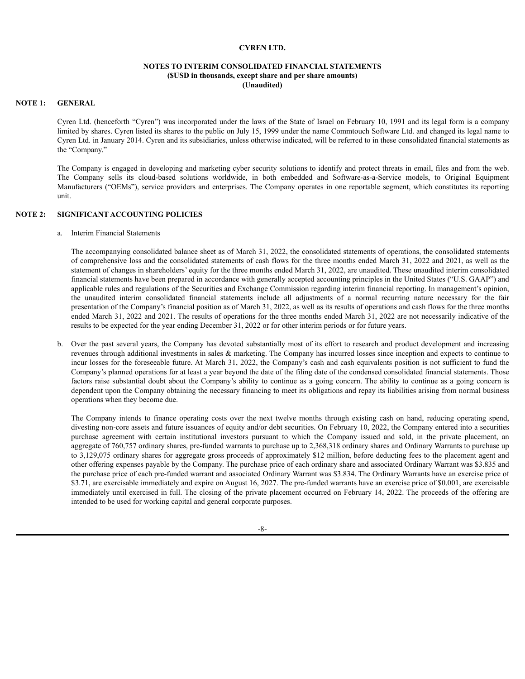## **NOTES TO INTERIM CONSOLIDATED FINANCIAL STATEMENTS (\$USD in thousands, except share and per share amounts) (Unaudited)**

## **NOTE 1: GENERAL**

Cyren Ltd. (henceforth "Cyren") was incorporated under the laws of the State of Israel on February 10, 1991 and its legal form is a company limited by shares. Cyren listed its shares to the public on July 15, 1999 under the name Commtouch Software Ltd. and changed its legal name to Cyren Ltd. in January 2014. Cyren and its subsidiaries, unless otherwise indicated, will be referred to in these consolidated financial statements as the "Company."

The Company is engaged in developing and marketing cyber security solutions to identify and protect threats in email, files and from the web. The Company sells its cloud-based solutions worldwide, in both embedded and Software-as-a-Service models, to Original Equipment Manufacturers ("OEMs"), service providers and enterprises. The Company operates in one reportable segment, which constitutes its reporting unit.

#### **NOTE 2: SIGNIFICANT ACCOUNTING POLICIES**

a. Interim Financial Statements

The accompanying consolidated balance sheet as of March 31, 2022, the consolidated statements of operations, the consolidated statements of comprehensive loss and the consolidated statements of cash flows for the three months ended March 31, 2022 and 2021, as well as the statement of changes in shareholders' equity for the three months ended March 31, 2022, are unaudited. These unaudited interim consolidated financial statements have been prepared in accordance with generally accepted accounting principles in the United States ("U.S. GAAP") and applicable rules and regulations of the Securities and Exchange Commission regarding interim financial reporting. In management's opinion, the unaudited interim consolidated financial statements include all adjustments of a normal recurring nature necessary for the fair presentation of the Company's financial position as of March 31, 2022, as well as its results of operations and cash flows for the three months ended March 31, 2022 and 2021. The results of operations for the three months ended March 31, 2022 are not necessarily indicative of the results to be expected for the year ending December 31, 2022 or for other interim periods or for future years.

b. Over the past several years, the Company has devoted substantially most of its effort to research and product development and increasing revenues through additional investments in sales & marketing. The Company has incurred losses since inception and expects to continue to incur losses for the foreseeable future. At March 31, 2022, the Company's cash and cash equivalents position is not sufficient to fund the Company's planned operations for at least a year beyond the date of the filing date of the condensed consolidated financial statements. Those factors raise substantial doubt about the Company's ability to continue as a going concern. The ability to continue as a going concern is dependent upon the Company obtaining the necessary financing to meet its obligations and repay its liabilities arising from normal business operations when they become due.

The Company intends to finance operating costs over the next twelve months through existing cash on hand, reducing operating spend, divesting non-core assets and future issuances of equity and/or debt securities. On February 10, 2022, the Company entered into a securities purchase agreement with certain institutional investors pursuant to which the Company issued and sold, in the private placement, an aggregate of 760,757 ordinary shares, pre-funded warrants to purchase up to 2,368,318 ordinary shares and Ordinary Warrants to purchase up to 3,129,075 ordinary shares for aggregate gross proceeds of approximately \$12 million, before deducting fees to the placement agent and other offering expenses payable by the Company. The purchase price of each ordinary share and associated Ordinary Warrant was \$3.835 and the purchase price of each pre-funded warrant and associated Ordinary Warrant was \$3.834. The Ordinary Warrants have an exercise price of \$3.71, are exercisable immediately and expire on August 16, 2027. The pre-funded warrants have an exercise price of \$0.001, are exercisable immediately until exercised in full. The closing of the private placement occurred on February 14, 2022. The proceeds of the offering are intended to be used for working capital and general corporate purposes.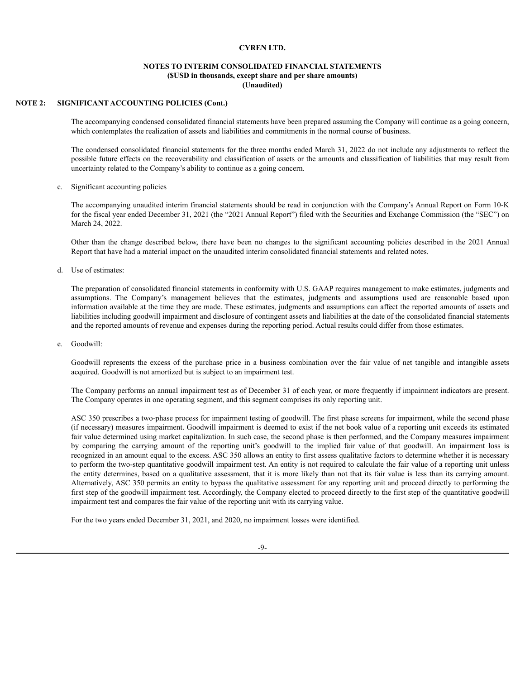## **NOTES TO INTERIM CONSOLIDATED FINANCIAL STATEMENTS (\$USD in thousands, except share and per share amounts) (Unaudited)**

## **NOTE 2: SIGNIFICANT ACCOUNTING POLICIES (Cont.)**

The accompanying condensed consolidated financial statements have been prepared assuming the Company will continue as a going concern, which contemplates the realization of assets and liabilities and commitments in the normal course of business.

The condensed consolidated financial statements for the three months ended March 31, 2022 do not include any adjustments to reflect the possible future effects on the recoverability and classification of assets or the amounts and classification of liabilities that may result from uncertainty related to the Company's ability to continue as a going concern.

c. Significant accounting policies

The accompanying unaudited interim financial statements should be read in conjunction with the Company's Annual Report on Form 10-K for the fiscal year ended December 31, 2021 (the "2021 Annual Report") filed with the Securities and Exchange Commission (the "SEC") on March 24, 2022.

Other than the change described below, there have been no changes to the significant accounting policies described in the 2021 Annual Report that have had a material impact on the unaudited interim consolidated financial statements and related notes.

d. Use of estimates:

The preparation of consolidated financial statements in conformity with U.S. GAAP requires management to make estimates, judgments and assumptions. The Company's management believes that the estimates, judgments and assumptions used are reasonable based upon information available at the time they are made. These estimates, judgments and assumptions can affect the reported amounts of assets and liabilities including goodwill impairment and disclosure of contingent assets and liabilities at the date of the consolidated financial statements and the reported amounts of revenue and expenses during the reporting period. Actual results could differ from those estimates.

e. Goodwill:

Goodwill represents the excess of the purchase price in a business combination over the fair value of net tangible and intangible assets acquired. Goodwill is not amortized but is subject to an impairment test.

The Company performs an annual impairment test as of December 31 of each year, or more frequently if impairment indicators are present. The Company operates in one operating segment, and this segment comprises its only reporting unit.

ASC 350 prescribes a two-phase process for impairment testing of goodwill. The first phase screens for impairment, while the second phase (if necessary) measures impairment. Goodwill impairment is deemed to exist if the net book value of a reporting unit exceeds its estimated fair value determined using market capitalization. In such case, the second phase is then performed, and the Company measures impairment by comparing the carrying amount of the reporting unit's goodwill to the implied fair value of that goodwill. An impairment loss is recognized in an amount equal to the excess. ASC 350 allows an entity to first assess qualitative factors to determine whether it is necessary to perform the two-step quantitative goodwill impairment test. An entity is not required to calculate the fair value of a reporting unit unless the entity determines, based on a qualitative assessment, that it is more likely than not that its fair value is less than its carrying amount. Alternatively, ASC 350 permits an entity to bypass the qualitative assessment for any reporting unit and proceed directly to performing the first step of the goodwill impairment test. Accordingly, the Company elected to proceed directly to the first step of the quantitative goodwill impairment test and compares the fair value of the reporting unit with its carrying value.

For the two years ended December 31, 2021, and 2020, no impairment losses were identified.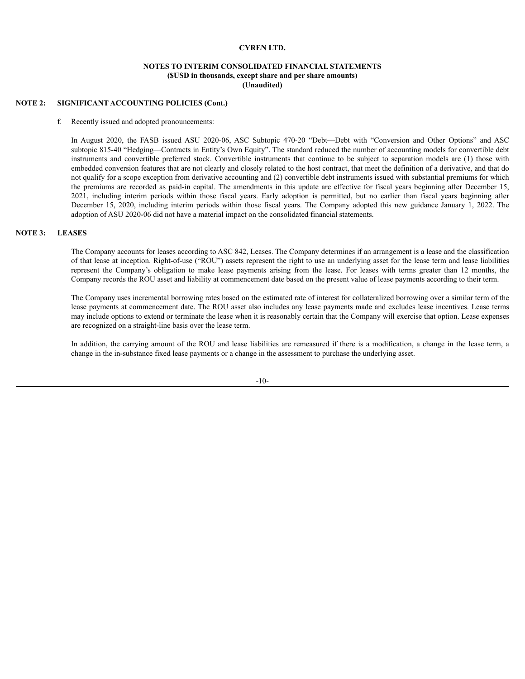## **NOTES TO INTERIM CONSOLIDATED FINANCIAL STATEMENTS (\$USD in thousands, except share and per share amounts) (Unaudited)**

## **NOTE 2: SIGNIFICANT ACCOUNTING POLICIES (Cont.)**

#### f. Recently issued and adopted pronouncements:

In August 2020, the FASB issued ASU 2020-06, ASC Subtopic 470-20 "Debt—Debt with "Conversion and Other Options" and ASC subtopic 815-40 "Hedging—Contracts in Entity's Own Equity". The standard reduced the number of accounting models for convertible debt instruments and convertible preferred stock. Convertible instruments that continue to be subject to separation models are (1) those with embedded conversion features that are not clearly and closely related to the host contract, that meet the definition of a derivative, and that do not qualify for a scope exception from derivative accounting and (2) convertible debt instruments issued with substantial premiums for which the premiums are recorded as paid-in capital. The amendments in this update are effective for fiscal years beginning after December 15, 2021, including interim periods within those fiscal years. Early adoption is permitted, but no earlier than fiscal years beginning after December 15, 2020, including interim periods within those fiscal years. The Company adopted this new guidance January 1, 2022. The adoption of ASU 2020-06 did not have a material impact on the consolidated financial statements.

### **NOTE 3: LEASES**

The Company accounts for leases according to ASC 842, Leases. The Company determines if an arrangement is a lease and the classification of that lease at inception. Right-of-use ("ROU") assets represent the right to use an underlying asset for the lease term and lease liabilities represent the Company's obligation to make lease payments arising from the lease. For leases with terms greater than 12 months, the Company records the ROU asset and liability at commencement date based on the present value of lease payments according to their term.

The Company uses incremental borrowing rates based on the estimated rate of interest for collateralized borrowing over a similar term of the lease payments at commencement date. The ROU asset also includes any lease payments made and excludes lease incentives. Lease terms may include options to extend or terminate the lease when it is reasonably certain that the Company will exercise that option. Lease expenses are recognized on a straight-line basis over the lease term.

In addition, the carrying amount of the ROU and lease liabilities are remeasured if there is a modification, a change in the lease term, a change in the in-substance fixed lease payments or a change in the assessment to purchase the underlying asset.

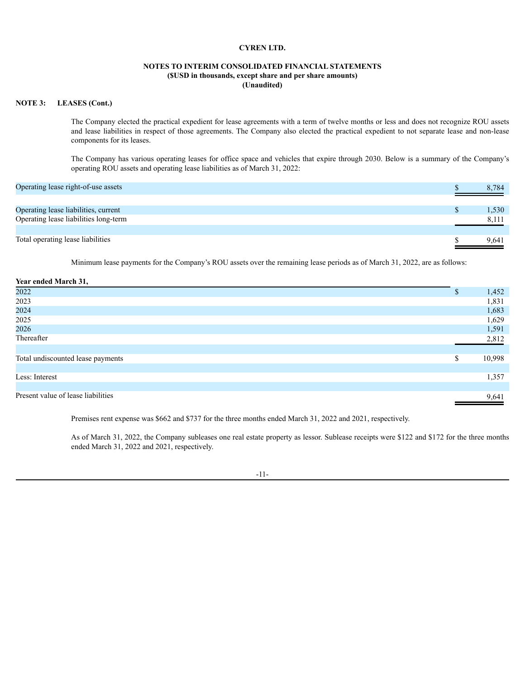# **NOTES TO INTERIM CONSOLIDATED FINANCIAL STATEMENTS (\$USD in thousands, except share and per share amounts) (Unaudited)**

## **NOTE 3: LEASES (Cont.)**

The Company elected the practical expedient for lease agreements with a term of twelve months or less and does not recognize ROU assets and lease liabilities in respect of those agreements. The Company also elected the practical expedient to not separate lease and non-lease components for its leases.

The Company has various operating leases for office space and vehicles that expire through 2030. Below is a summary of the Company's operating ROU assets and operating lease liabilities as of March 31, 2022:

| Operating lease right-of-use assets   | 8.784 |
|---------------------------------------|-------|
|                                       |       |
| Operating lease liabilities, current  | 1,530 |
| Operating lease liabilities long-term | 8,111 |
|                                       |       |
| Total operating lease liabilities     | 9.641 |

Minimum lease payments for the Company's ROU assets over the remaining lease periods as of March 31, 2022, are as follows:

| Year ended March 31,               |              |
|------------------------------------|--------------|
| 2022                               | \$<br>1,452  |
| 2023                               | 1,831        |
| 2024                               | 1,683        |
| 2025                               | 1,629        |
| 2026                               | 1,591        |
| Thereafter                         | 2,812        |
|                                    |              |
| Total undiscounted lease payments  | \$<br>10,998 |
|                                    |              |
| Less: Interest                     | 1,357        |
|                                    |              |
| Present value of lease liabilities | 9,641        |

Premises rent expense was \$662 and \$737 for the three months ended March 31, 2022 and 2021, respectively.

As of March 31, 2022, the Company subleases one real estate property as lessor. Sublease receipts were \$122 and \$172 for the three months ended March 31, 2022 and 2021, respectively.

#### -11-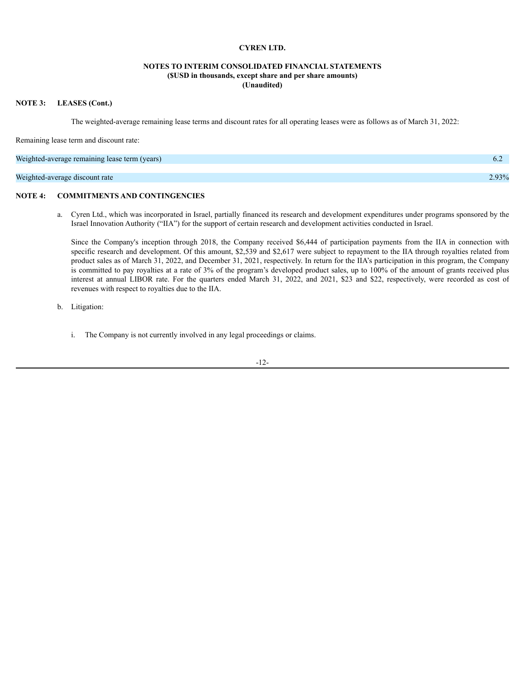# **NOTES TO INTERIM CONSOLIDATED FINANCIAL STATEMENTS (\$USD in thousands, except share and per share amounts) (Unaudited)**

## **NOTE 3: LEASES (Cont.)**

The weighted-average remaining lease terms and discount rates for all operating leases were as follows as of March 31, 2022:

Remaining lease term and discount rate:

| Weighted-average remaining lease term (years) | 6.2   |
|-----------------------------------------------|-------|
|                                               |       |
| Weighted-average discount rate                | 2.93% |

## **NOTE 4: COMMITMENTS AND CONTINGENCIES**

a. Cyren Ltd., which was incorporated in Israel, partially financed its research and development expenditures under programs sponsored by the Israel Innovation Authority ("IIA") for the support of certain research and development activities conducted in Israel.

Since the Company's inception through 2018, the Company received \$6,444 of participation payments from the IIA in connection with specific research and development. Of this amount, \$2,539 and \$2,617 were subject to repayment to the IIA through royalties related from product sales as of March 31, 2022, and December 31, 2021, respectively. In return for the IIA's participation in this program, the Company is committed to pay royalties at a rate of 3% of the program's developed product sales, up to 100% of the amount of grants received plus interest at annual LIBOR rate. For the quarters ended March 31, 2022, and 2021, \$23 and \$22, respectively, were recorded as cost of revenues with respect to royalties due to the IIA.

b. Litigation:

i. The Company is not currently involved in any legal proceedings or claims.

-12-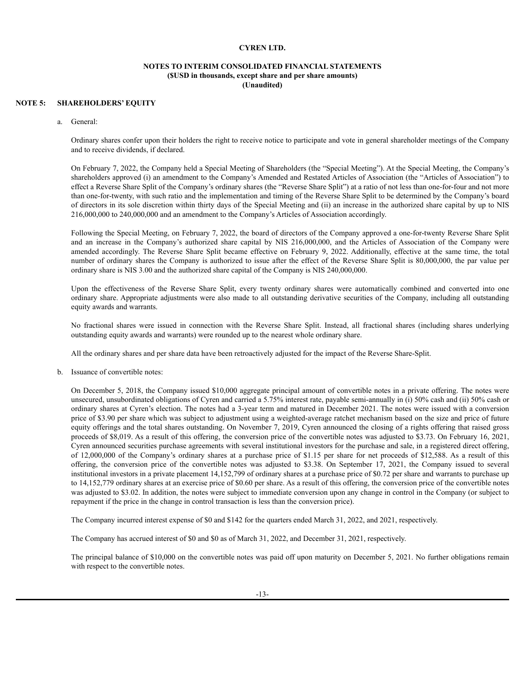## **NOTES TO INTERIM CONSOLIDATED FINANCIAL STATEMENTS (\$USD in thousands, except share and per share amounts) (Unaudited)**

## **NOTE 5: SHAREHOLDERS' EQUITY**

a. General:

Ordinary shares confer upon their holders the right to receive notice to participate and vote in general shareholder meetings of the Company and to receive dividends, if declared.

On February 7, 2022, the Company held a Special Meeting of Shareholders (the "Special Meeting"). At the Special Meeting, the Company's shareholders approved (i) an amendment to the Company's Amended and Restated Articles of Association (the "Articles of Association") to effect a Reverse Share Split of the Company's ordinary shares (the "Reverse Share Split") at a ratio of not less than one-for-four and not more than one-for-twenty, with such ratio and the implementation and timing of the Reverse Share Split to be determined by the Company's board of directors in its sole discretion within thirty days of the Special Meeting and (ii) an increase in the authorized share capital by up to NIS 216,000,000 to 240,000,000 and an amendment to the Company's Articles of Association accordingly.

Following the Special Meeting, on February 7, 2022, the board of directors of the Company approved a one-for-twenty Reverse Share Split and an increase in the Company's authorized share capital by NIS 216,000,000, and the Articles of Association of the Company were amended accordingly. The Reverse Share Split became effective on February 9, 2022. Additionally, effective at the same time, the total number of ordinary shares the Company is authorized to issue after the effect of the Reverse Share Split is 80,000,000, the par value per ordinary share is NIS 3.00 and the authorized share capital of the Company is NIS 240,000,000.

Upon the effectiveness of the Reverse Share Split, every twenty ordinary shares were automatically combined and converted into one ordinary share. Appropriate adjustments were also made to all outstanding derivative securities of the Company, including all outstanding equity awards and warrants.

No fractional shares were issued in connection with the Reverse Share Split. Instead, all fractional shares (including shares underlying outstanding equity awards and warrants) were rounded up to the nearest whole ordinary share.

All the ordinary shares and per share data have been retroactively adjusted for the impact of the Reverse Share-Split.

b. Issuance of convertible notes:

On December 5, 2018, the Company issued \$10,000 aggregate principal amount of convertible notes in a private offering. The notes were unsecured, unsubordinated obligations of Cyren and carried a 5.75% interest rate, payable semi-annually in (i) 50% cash and (ii) 50% cash or ordinary shares at Cyren's election. The notes had a 3-year term and matured in December 2021. The notes were issued with a conversion price of \$3.90 per share which was subject to adjustment using a weighted-average ratchet mechanism based on the size and price of future equity offerings and the total shares outstanding. On November 7, 2019, Cyren announced the closing of a rights offering that raised gross proceeds of \$8,019. As a result of this offering, the conversion price of the convertible notes was adjusted to \$3.73. On February 16, 2021, Cyren announced securities purchase agreements with several institutional investors for the purchase and sale, in a registered direct offering, of 12,000,000 of the Company's ordinary shares at a purchase price of \$1.15 per share for net proceeds of \$12,588. As a result of this offering, the conversion price of the convertible notes was adjusted to \$3.38. On September 17, 2021, the Company issued to several institutional investors in a private placement 14,152,799 of ordinary shares at a purchase price of \$0.72 per share and warrants to purchase up to 14,152,779 ordinary shares at an exercise price of \$0.60 per share. As a result of this offering, the conversion price of the convertible notes was adjusted to \$3.02. In addition, the notes were subject to immediate conversion upon any change in control in the Company (or subject to repayment if the price in the change in control transaction is less than the conversion price).

The Company incurred interest expense of \$0 and \$142 for the quarters ended March 31, 2022, and 2021, respectively.

The Company has accrued interest of \$0 and \$0 as of March 31, 2022, and December 31, 2021, respectively.

The principal balance of \$10,000 on the convertible notes was paid off upon maturity on December 5, 2021. No further obligations remain with respect to the convertible notes.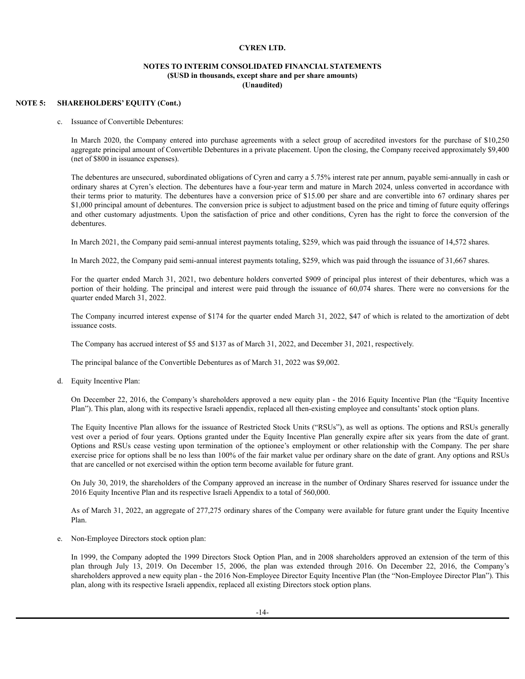## **NOTES TO INTERIM CONSOLIDATED FINANCIAL STATEMENTS (\$USD in thousands, except share and per share amounts) (Unaudited)**

## **NOTE 5: SHAREHOLDERS' EQUITY (Cont.)**

c. Issuance of Convertible Debentures:

In March 2020, the Company entered into purchase agreements with a select group of accredited investors for the purchase of \$10,250 aggregate principal amount of Convertible Debentures in a private placement. Upon the closing, the Company received approximately \$9,400 (net of \$800 in issuance expenses).

The debentures are unsecured, subordinated obligations of Cyren and carry a 5.75% interest rate per annum, payable semi-annually in cash or ordinary shares at Cyren's election. The debentures have a four-year term and mature in March 2024, unless converted in accordance with their terms prior to maturity. The debentures have a conversion price of \$15.00 per share and are convertible into 67 ordinary shares per \$1,000 principal amount of debentures. The conversion price is subject to adjustment based on the price and timing of future equity offerings and other customary adjustments. Upon the satisfaction of price and other conditions, Cyren has the right to force the conversion of the debentures.

In March 2021, the Company paid semi-annual interest payments totaling, \$259, which was paid through the issuance of 14,572 shares.

In March 2022, the Company paid semi-annual interest payments totaling, \$259, which was paid through the issuance of 31,667 shares.

For the quarter ended March 31, 2021, two debenture holders converted \$909 of principal plus interest of their debentures, which was a portion of their holding. The principal and interest were paid through the issuance of 60,074 shares. There were no conversions for the quarter ended March 31, 2022.

The Company incurred interest expense of \$174 for the quarter ended March 31, 2022, \$47 of which is related to the amortization of debt issuance costs.

The Company has accrued interest of \$5 and \$137 as of March 31, 2022, and December 31, 2021, respectively.

The principal balance of the Convertible Debentures as of March 31, 2022 was \$9,002.

d. Equity Incentive Plan:

On December 22, 2016, the Company's shareholders approved a new equity plan - the 2016 Equity Incentive Plan (the "Equity Incentive Plan"). This plan, along with its respective Israeli appendix, replaced all then-existing employee and consultants'stock option plans.

The Equity Incentive Plan allows for the issuance of Restricted Stock Units ("RSUs"), as well as options. The options and RSUs generally vest over a period of four years. Options granted under the Equity Incentive Plan generally expire after six years from the date of grant. Options and RSUs cease vesting upon termination of the optionee's employment or other relationship with the Company. The per share exercise price for options shall be no less than 100% of the fair market value per ordinary share on the date of grant. Any options and RSUs that are cancelled or not exercised within the option term become available for future grant.

On July 30, 2019, the shareholders of the Company approved an increase in the number of Ordinary Shares reserved for issuance under the 2016 Equity Incentive Plan and its respective Israeli Appendix to a total of 560,000.

As of March 31, 2022, an aggregate of 277,275 ordinary shares of the Company were available for future grant under the Equity Incentive Plan.

e. Non-Employee Directors stock option plan:

In 1999, the Company adopted the 1999 Directors Stock Option Plan, and in 2008 shareholders approved an extension of the term of this plan through July 13, 2019. On December 15, 2006, the plan was extended through 2016. On December 22, 2016, the Company's shareholders approved a new equity plan - the 2016 Non-Employee Director Equity Incentive Plan (the "Non-Employee Director Plan"). This plan, along with its respective Israeli appendix, replaced all existing Directors stock option plans.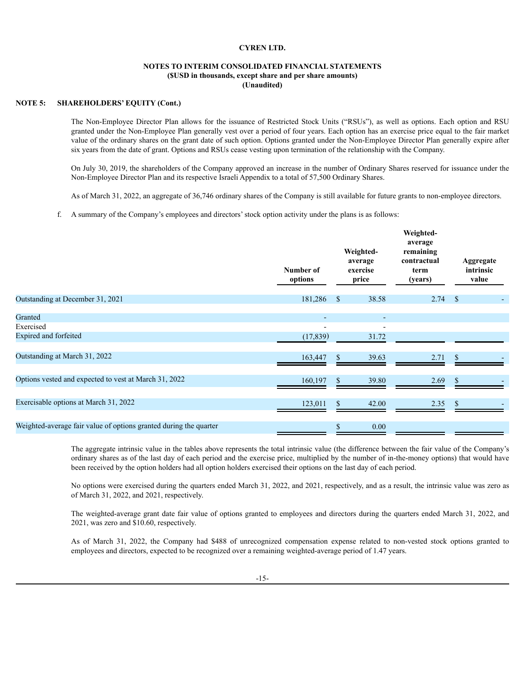## **NOTES TO INTERIM CONSOLIDATED FINANCIAL STATEMENTS (\$USD in thousands, except share and per share amounts) (Unaudited)**

## **NOTE 5: SHAREHOLDERS' EQUITY (Cont.)**

The Non-Employee Director Plan allows for the issuance of Restricted Stock Units ("RSUs"), as well as options. Each option and RSU granted under the Non-Employee Plan generally vest over a period of four years. Each option has an exercise price equal to the fair market value of the ordinary shares on the grant date of such option. Options granted under the Non-Employee Director Plan generally expire after six years from the date of grant. Options and RSUs cease vesting upon termination of the relationship with the Company.

On July 30, 2019, the shareholders of the Company approved an increase in the number of Ordinary Shares reserved for issuance under the Non-Employee Director Plan and its respective Israeli Appendix to a total of 57,500 Ordinary Shares.

As of March 31, 2022, an aggregate of 36,746 ordinary shares of the Company is still available for future grants to non-employee directors.

f. A summary of the Company's employees and directors'stock option activity under the plans is as follows:

|                                                                   | Number of<br>options |               | Weighted-<br>average<br>exercise<br>price | Weighted-<br>average<br>remaining<br>contractual<br>term<br>(years) |               | Aggregate<br>intrinsic<br>value |
|-------------------------------------------------------------------|----------------------|---------------|-------------------------------------------|---------------------------------------------------------------------|---------------|---------------------------------|
| Outstanding at December 31, 2021                                  | 181,286              | <sup>\$</sup> | 38.58                                     | 2.74                                                                | - \$          |                                 |
| Granted<br>Exercised                                              |                      |               |                                           |                                                                     |               |                                 |
| Expired and forfeited                                             | (17, 839)            |               | 31.72                                     |                                                                     |               |                                 |
| Outstanding at March 31, 2022                                     | 163,447              |               | 39.63                                     | 2.71                                                                |               |                                 |
| Options vested and expected to vest at March 31, 2022             | 160,197              | \$            | 39.80                                     | 2.69                                                                | <sup>\$</sup> |                                 |
| Exercisable options at March 31, 2022                             | 123,011              | \$            | 42.00                                     | 2.35                                                                | <sup>\$</sup> |                                 |
| Weighted-average fair value of options granted during the quarter |                      | S             | 0.00                                      |                                                                     |               |                                 |

The aggregate intrinsic value in the tables above represents the total intrinsic value (the difference between the fair value of the Company's ordinary shares as of the last day of each period and the exercise price, multiplied by the number of in-the-money options) that would have been received by the option holders had all option holders exercised their options on the last day of each period.

No options were exercised during the quarters ended March 31, 2022, and 2021, respectively, and as a result, the intrinsic value was zero as of March 31, 2022, and 2021, respectively.

The weighted-average grant date fair value of options granted to employees and directors during the quarters ended March 31, 2022, and 2021, was zero and \$10.60, respectively.

As of March 31, 2022, the Company had \$488 of unrecognized compensation expense related to non-vested stock options granted to employees and directors, expected to be recognized over a remaining weighted-average period of 1.47 years.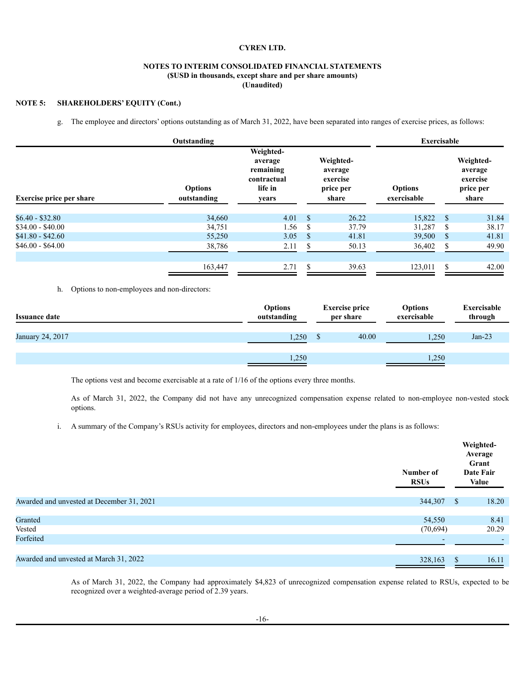# **NOTES TO INTERIM CONSOLIDATED FINANCIAL STATEMENTS (\$USD in thousands, except share and per share amounts) (Unaudited)**

# **NOTE 5: SHAREHOLDERS' EQUITY (Cont.)**

g. The employee and directors' options outstanding as of March 31, 2022, have been separated into ranges of exercise prices, as follows:

|                                 | Outstanding                   |                                                                      |               |                                                        | <b>Exercisable</b>            |     |                                                        |
|---------------------------------|-------------------------------|----------------------------------------------------------------------|---------------|--------------------------------------------------------|-------------------------------|-----|--------------------------------------------------------|
| <b>Exercise price per share</b> | <b>Options</b><br>outstanding | Weighted-<br>average<br>remaining<br>contractual<br>life in<br>years |               | Weighted-<br>average<br>exercise<br>price per<br>share | <b>Options</b><br>exercisable |     | Weighted-<br>average<br>exercise<br>price per<br>share |
| $$6.40 - $32.80$                | 34,660                        | 4.01                                                                 | \$.           | 26.22                                                  | 15,822                        | S   | 31.84                                                  |
| $$34.00 - $40.00$               | 34,751                        | 1.56                                                                 | <b>S</b>      | 37.79                                                  | 31,287                        | -S  | 38.17                                                  |
| $$41.80 - $42.60$               | 55,250                        | 3.05                                                                 | <sup>\$</sup> | 41.81                                                  | 39,500                        | -S  | 41.81                                                  |
| $$46.00 - $64.00$               | 38,786                        | 2.11                                                                 | \$            | 50.13                                                  | 36,402                        | S   | 49.90                                                  |
|                                 | 163,447                       | 2.71                                                                 | S             | 39.63                                                  | 123,011                       | \$. | 42.00                                                  |

h. Options to non-employees and non-directors:

| <b>Issuance date</b> | <b>Options</b><br>outstanding |  | <b>Exercise price</b><br>per share | <b>Options</b><br>exercisable | Exercisable<br>through |
|----------------------|-------------------------------|--|------------------------------------|-------------------------------|------------------------|
| January 24, 2017     | .250                          |  | 40.00                              | 1,250                         | $Jan-23$               |
|                      | 1,250                         |  |                                    | 1,250                         |                        |

The options vest and become exercisable at a rate of 1/16 of the options every three months.

As of March 31, 2022, the Company did not have any unrecognized compensation expense related to non-employee non-vested stock options.

i. A summary of the Company's RSUs activity for employees, directors and non-employees under the plans is as follows:

|                                           | Number of<br><b>RSUs</b> | Weighted-<br>Average<br>Grant<br>Date Fair<br><b>Value</b> |
|-------------------------------------------|--------------------------|------------------------------------------------------------|
| Awarded and unvested at December 31, 2021 | 344,307                  | \$<br>18.20                                                |
|                                           |                          |                                                            |
| Granted                                   | 54,550                   | 8.41                                                       |
| Vested                                    | (70, 694)                | 20.29                                                      |
| Forfeited                                 |                          |                                                            |
|                                           |                          |                                                            |
| Awarded and unvested at March 31, 2022    | 328,163                  | \$<br>16.11                                                |

As of March 31, 2022, the Company had approximately \$4,823 of unrecognized compensation expense related to RSUs, expected to be recognized over a weighted-average period of 2.39 years.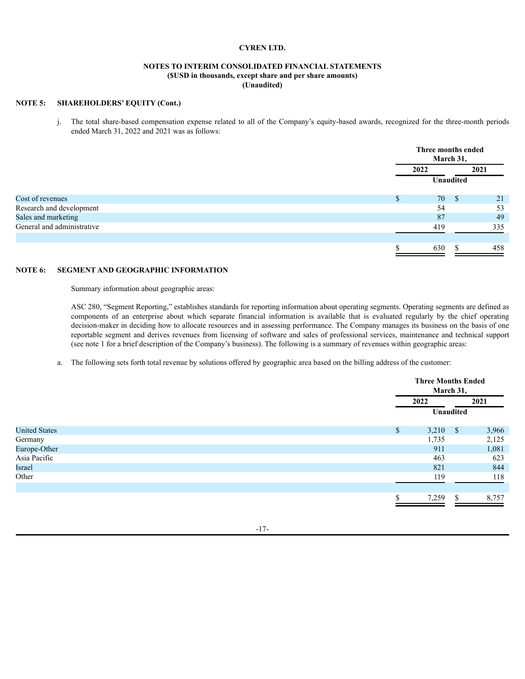# **NOTES TO INTERIM CONSOLIDATED FINANCIAL STATEMENTS (\$USD in thousands, except share and per share amounts) (Unaudited)**

# **NOTE 5: SHAREHOLDERS' EQUITY (Cont.)**

j. The total share-based compensation expense related to all of the Company's equity-based awards, recognized for the three-month periods ended March 31, 2022 and 2021 was as follows:

|                            | March 31,        | Three months ended |    |
|----------------------------|------------------|--------------------|----|
|                            | 2022<br>2021     |                    |    |
|                            | <b>Unaudited</b> |                    |    |
| Cost of revenues           | \$<br>70         | -S<br>21           |    |
| Research and development   | 54               |                    | 53 |
| Sales and marketing        | 87               |                    | 49 |
| General and administrative | 419              | 335                |    |
|                            | 630              | 458<br>\$          |    |

# **NOTE 6: SEGMENT AND GEOGRAPHIC INFORMATION**

Summary information about geographic areas:

ASC 280, "Segment Reporting," establishes standards for reporting information about operating segments. Operating segments are defined as components of an enterprise about which separate financial information is available that is evaluated regularly by the chief operating decision-maker in deciding how to allocate resources and in assessing performance. The Company manages its business on the basis of one reportable segment and derives revenues from licensing of software and sales of professional services, maintenance and technical support (see note 1 for a brief description of the Company's business). The following is a summary of revenues within geographic areas:

a. The following sets forth total revenue by solutions offered by geographic area based on the billing address of the customer:

|                      |    | <b>Three Months Ended</b> | March 31,    |       |
|----------------------|----|---------------------------|--------------|-------|
|                      |    | 2022                      |              | 2021  |
|                      |    | Unaudited                 |              |       |
| <b>United States</b> | \$ | 3,210                     | $\mathbf{s}$ | 3,966 |
| Germany              |    | 1,735                     |              | 2,125 |
| Europe-Other         |    | 911                       |              | 1,081 |
| Asia Pacific         |    | 463                       |              | 623   |
| Israel               |    | 821                       |              | 844   |
| Other                |    | 119                       |              | 118   |
|                      |    |                           |              |       |
|                      | Φ  | 7,259                     | \$.          | 8,757 |

-17-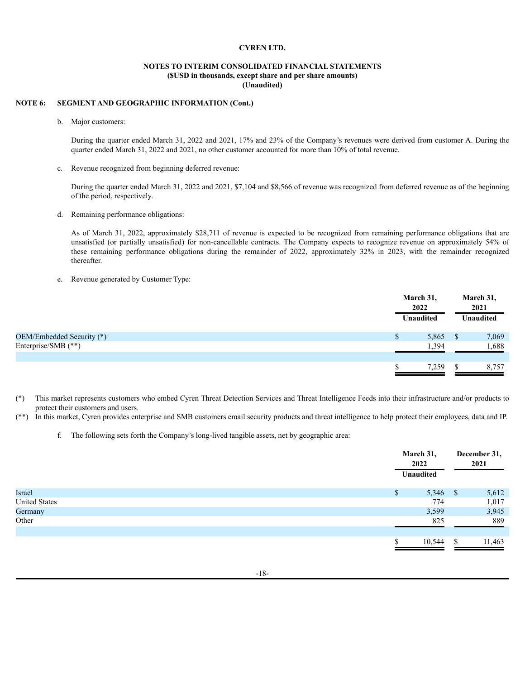# **NOTES TO INTERIM CONSOLIDATED FINANCIAL STATEMENTS (\$USD in thousands, except share and per share amounts) (Unaudited)**

# **NOTE 6: SEGMENT AND GEOGRAPHIC INFORMATION (Cont.)**

b. Major customers:

During the quarter ended March 31, 2022 and 2021, 17% and 23% of the Company's revenues were derived from customer A. During the quarter ended March 31, 2022 and 2021, no other customer accounted for more than 10% of total revenue.

c. Revenue recognized from beginning deferred revenue:

During the quarter ended March 31, 2022 and 2021, \$7,104 and \$8,566 of revenue was recognized from deferred revenue as of the beginning of the period, respectively.

d. Remaining performance obligations:

As of March 31, 2022, approximately \$28,711 of revenue is expected to be recognized from remaining performance obligations that are unsatisfied (or partially unsatisfied) for non-cancellable contracts. The Company expects to recognize revenue on approximately 54% of these remaining performance obligations during the remainder of 2022, approximately 32% in 2023, with the remainder recognized thereafter.

e. Revenue generated by Customer Type:

|                           |   | March 31,<br>2022 | March 31,<br>2021 |                  |
|---------------------------|---|-------------------|-------------------|------------------|
|                           |   | <b>Unaudited</b>  |                   | <b>Unaudited</b> |
| OEM/Embedded Security (*) | S | 5,865             | <sup>S</sup>      | 7,069            |
| Enterprise/SMB (**)       |   | 1,394             |                   | 1,688            |
|                           |   |                   |                   |                  |
|                           |   | 7,259             |                   | 8,757            |

(\*) This market represents customers who embed Cyren Threat Detection Services and Threat Intelligence Feeds into their infrastructure and/or products to protect their customers and users.

(\*\*) In this market, Cyren provides enterprise and SMB customers email security products and threat intelligence to help protect their employees, data and IP.

f. The following sets forth the Company's long-lived tangible assets, net by geographic area:

|                      | March 31,<br>2022 | December 31,<br>2021 |
|----------------------|-------------------|----------------------|
|                      | Unaudited         |                      |
| Israel               | 5,346<br>\$       | 5,612<br>- \$        |
| <b>United States</b> | 774               | 1,017                |
| Germany              | 3,599             | 3,945                |
| Other                | 825               | 889                  |
|                      |                   |                      |
|                      | 10,544            | 11,463<br>\$.        |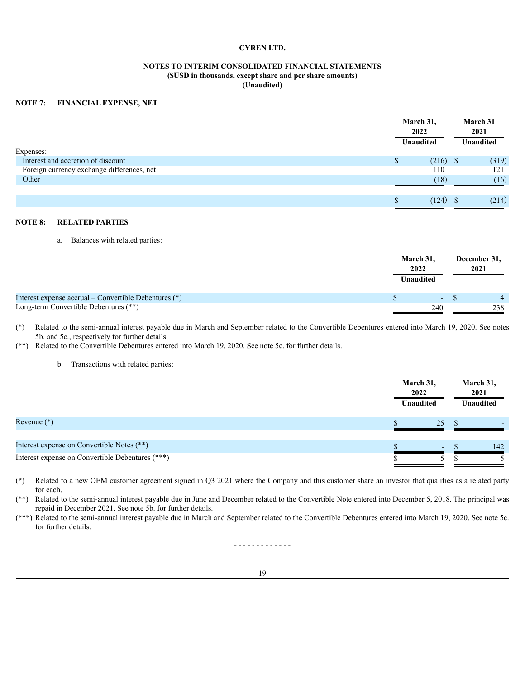# **NOTES TO INTERIM CONSOLIDATED FINANCIAL STATEMENTS (\$USD in thousands, except share and per share amounts) (Unaudited)**

## **NOTE 7: FINANCIAL EXPENSE, NET**

|                                            | March 31,<br>2022 |            | March 31<br>2021 |
|--------------------------------------------|-------------------|------------|------------------|
|                                            | <b>Unaudited</b>  |            | <b>Unaudited</b> |
| Expenses:                                  |                   |            |                  |
| Interest and accretion of discount         | S.                | $(216)$ \$ | (319)            |
| Foreign currency exchange differences, net |                   | 110        | 121              |
| Other                                      |                   | (18)       | (16)             |
|                                            |                   |            |                  |
|                                            |                   | (124)      | (214)            |

# **NOTE 8: RELATED PARTIES**

a. Balances with related parties:

|                                                       | March 31,<br>2022<br>Unaudited | December 31,<br>2021 |  |
|-------------------------------------------------------|--------------------------------|----------------------|--|
| Interest expense accrual – Convertible Debentures (*) | $\sim$ 100 $\sim$              |                      |  |
| Long-term Convertible Debentures (**)                 | 240                            | 238                  |  |

(\*) Related to the semi-annual interest payable due in March and September related to the Convertible Debentures entered into March 19, 2020. See notes 5b. and 5c., respectively for further details.

(\*\*) Related to the Convertible Debentures entered into March 19, 2020. See note 5c. for further details.

b. Transactions with related parties:

|                                                  | March 31,<br>2022<br>Unaudited |        | March 31,<br>2021<br>Unaudited |
|--------------------------------------------------|--------------------------------|--------|--------------------------------|
| Revenue $(*)$                                    |                                | 25     |                                |
| Interest expense on Convertible Notes (**)       |                                | $\sim$ | 142                            |
| Interest expense on Convertible Debentures (***) |                                |        |                                |

(\*) Related to a new OEM customer agreement signed in Q3 2021 where the Company and this customer share an investor that qualifies as a related party for each.

(\*\*) Related to the semi-annual interest payable due in June and December related to the Convertible Note entered into December 5, 2018. The principal was repaid in December 2021. See note 5b. for further details.

(\*\*\*) Related to the semi-annual interest payable due in March and September related to the Convertible Debentures entered into March 19, 2020. See note 5c. for further details.

- - - - - - - - - - - - -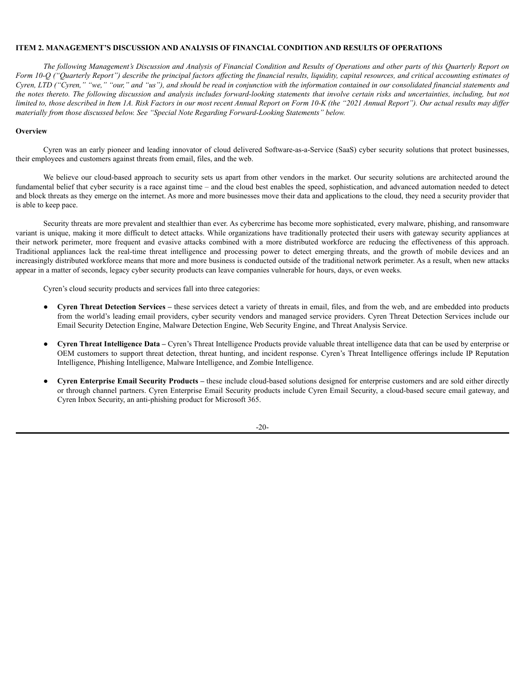## <span id="page-22-0"></span>**ITEM 2. MANAGEMENT'S DISCUSSION AND ANALYSIS OF FINANCIAL CONDITION AND RESULTS OF OPERATIONS**

The following Management's Discussion and Analysis of Financial Condition and Results of Operations and other parts of this Quarterly Report on Form 10-Q ("Quarterly Report") describe the principal factors affecting the financial results, liquidity, capital resources, and critical accounting estimates of Cyren, LTD ("Cyren," "we," "our," and "us"), and should be read in conjunction with the information contained in our consolidated financial statements and the notes thereto. The following discussion and analysis includes forward-looking statements that involve certain risks and uncertainties, including, but not limited to, those described in Item 1A. Risk Factors in our most recent Annual Report on Form 10-K (the "2021 Annual Report"). Our actual results may differ *materially from those discussed below. See "Special Note Regarding Forward-Looking Statements" below.*

## **Overview**

Cyren was an early pioneer and leading innovator of cloud delivered Software-as-a-Service (SaaS) cyber security solutions that protect businesses, their employees and customers against threats from email, files, and the web.

We believe our cloud-based approach to security sets us apart from other vendors in the market. Our security solutions are architected around the fundamental belief that cyber security is a race against time – and the cloud best enables the speed, sophistication, and advanced automation needed to detect and block threats as they emerge on the internet. As more and more businesses move their data and applications to the cloud, they need a security provider that is able to keep pace.

Security threats are more prevalent and stealthier than ever. As cybercrime has become more sophisticated, every malware, phishing, and ransomware variant is unique, making it more difficult to detect attacks. While organizations have traditionally protected their users with gateway security appliances at their network perimeter, more frequent and evasive attacks combined with a more distributed workforce are reducing the effectiveness of this approach. Traditional appliances lack the real-time threat intelligence and processing power to detect emerging threats, and the growth of mobile devices and an increasingly distributed workforce means that more and more business is conducted outside of the traditional network perimeter. As a result, when new attacks appear in a matter of seconds, legacy cyber security products can leave companies vulnerable for hours, days, or even weeks.

Cyren's cloud security products and services fall into three categories:

- **Cyren Threat Detection Services –** these services detect a variety of threats in email, files, and from the web, and are embedded into products from the world's leading email providers, cyber security vendors and managed service providers. Cyren Threat Detection Services include our Email Security Detection Engine, Malware Detection Engine, Web Security Engine, and Threat Analysis Service.
- **Cyren Threat Intelligence Data –** Cyren's Threat Intelligence Products provide valuable threat intelligence data that can be used by enterprise or OEM customers to support threat detection, threat hunting, and incident response. Cyren's Threat Intelligence offerings include IP Reputation Intelligence, Phishing Intelligence, Malware Intelligence, and Zombie Intelligence.
- **Cyren Enterprise Email Security Products –** these include cloud-based solutions designed for enterprise customers and are sold either directly or through channel partners. Cyren Enterprise Email Security products include Cyren Email Security, a cloud-based secure email gateway, and Cyren Inbox Security, an anti-phishing product for Microsoft 365.

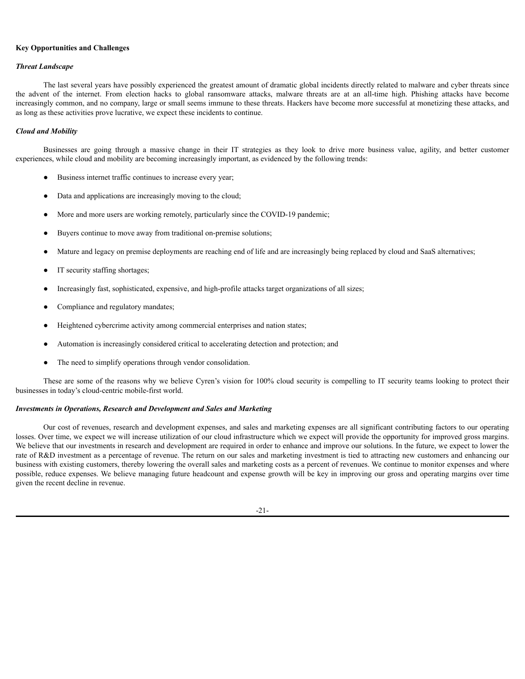## **Key Opportunities and Challenges**

## *Threat Landscape*

The last several years have possibly experienced the greatest amount of dramatic global incidents directly related to malware and cyber threats since the advent of the internet. From election hacks to global ransomware attacks, malware threats are at an all-time high. Phishing attacks have become increasingly common, and no company, large or small seems immune to these threats. Hackers have become more successful at monetizing these attacks, and as long as these activities prove lucrative, we expect these incidents to continue.

## *Cloud and Mobility*

Businesses are going through a massive change in their IT strategies as they look to drive more business value, agility, and better customer experiences, while cloud and mobility are becoming increasingly important, as evidenced by the following trends:

- Business internet traffic continues to increase every year;
- Data and applications are increasingly moving to the cloud;
- More and more users are working remotely, particularly since the COVID-19 pandemic;
- Buyers continue to move away from traditional on-premise solutions;
- Mature and legacy on premise deployments are reaching end of life and are increasingly being replaced by cloud and SaaS alternatives;
- IT security staffing shortages;
- Increasingly fast, sophisticated, expensive, and high-profile attacks target organizations of all sizes;
- Compliance and regulatory mandates;
- Heightened cybercrime activity among commercial enterprises and nation states;
- Automation is increasingly considered critical to accelerating detection and protection; and
- The need to simplify operations through vendor consolidation.

These are some of the reasons why we believe Cyren's vision for 100% cloud security is compelling to IT security teams looking to protect their businesses in today's cloud-centric mobile-first world.

## *Investments in Operations, Research and Development and Sales and Marketing*

Our cost of revenues, research and development expenses, and sales and marketing expenses are all significant contributing factors to our operating losses. Over time, we expect we will increase utilization of our cloud infrastructure which we expect will provide the opportunity for improved gross margins. We believe that our investments in research and development are required in order to enhance and improve our solutions. In the future, we expect to lower the rate of R&D investment as a percentage of revenue. The return on our sales and marketing investment is tied to attracting new customers and enhancing our business with existing customers, thereby lowering the overall sales and marketing costs as a percent of revenues. We continue to monitor expenses and where possible, reduce expenses. We believe managing future headcount and expense growth will be key in improving our gross and operating margins over time given the recent decline in revenue.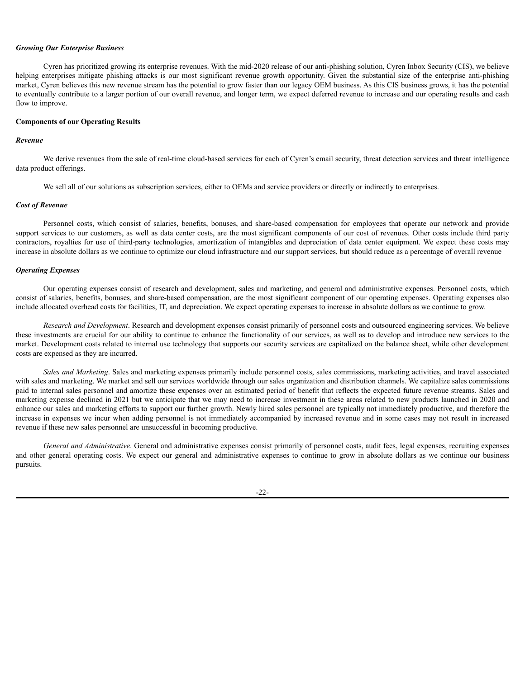#### *Growing Our Enterprise Business*

Cyren has prioritized growing its enterprise revenues. With the mid-2020 release of our anti-phishing solution, Cyren Inbox Security (CIS), we believe helping enterprises mitigate phishing attacks is our most significant revenue growth opportunity. Given the substantial size of the enterprise anti-phishing market, Cyren believes this new revenue stream has the potential to grow faster than our legacy OEM business. As this CIS business grows, it has the potential to eventually contribute to a larger portion of our overall revenue, and longer term, we expect deferred revenue to increase and our operating results and cash flow to improve.

### **Components of our Operating Results**

# *Revenue*

We derive revenues from the sale of real-time cloud-based services for each of Cyren's email security, threat detection services and threat intelligence data product offerings.

We sell all of our solutions as subscription services, either to OEMs and service providers or directly or indirectly to enterprises.

#### *Cost of Revenue*

Personnel costs, which consist of salaries, benefits, bonuses, and share-based compensation for employees that operate our network and provide support services to our customers, as well as data center costs, are the most significant components of our cost of revenues. Other costs include third party contractors, royalties for use of third-party technologies, amortization of intangibles and depreciation of data center equipment. We expect these costs may increase in absolute dollars as we continue to optimize our cloud infrastructure and our support services, but should reduce as a percentage of overall revenue

#### *Operating Expenses*

Our operating expenses consist of research and development, sales and marketing, and general and administrative expenses. Personnel costs, which consist of salaries, benefits, bonuses, and share-based compensation, are the most significant component of our operating expenses. Operating expenses also include allocated overhead costs for facilities, IT, and depreciation. We expect operating expenses to increase in absolute dollars as we continue to grow.

*Research and Development*. Research and development expenses consist primarily of personnel costs and outsourced engineering services. We believe these investments are crucial for our ability to continue to enhance the functionality of our services, as well as to develop and introduce new services to the market. Development costs related to internal use technology that supports our security services are capitalized on the balance sheet, while other development costs are expensed as they are incurred.

*Sales and Marketing*. Sales and marketing expenses primarily include personnel costs, sales commissions, marketing activities, and travel associated with sales and marketing. We market and sell our services worldwide through our sales organization and distribution channels. We capitalize sales commissions paid to internal sales personnel and amortize these expenses over an estimated period of benefit that reflects the expected future revenue streams. Sales and marketing expense declined in 2021 but we anticipate that we may need to increase investment in these areas related to new products launched in 2020 and enhance our sales and marketing efforts to support our further growth. Newly hired sales personnel are typically not immediately productive, and therefore the increase in expenses we incur when adding personnel is not immediately accompanied by increased revenue and in some cases may not result in increased revenue if these new sales personnel are unsuccessful in becoming productive.

*General and Administrative*. General and administrative expenses consist primarily of personnel costs, audit fees, legal expenses, recruiting expenses and other general operating costs. We expect our general and administrative expenses to continue to grow in absolute dollars as we continue our business pursuits.

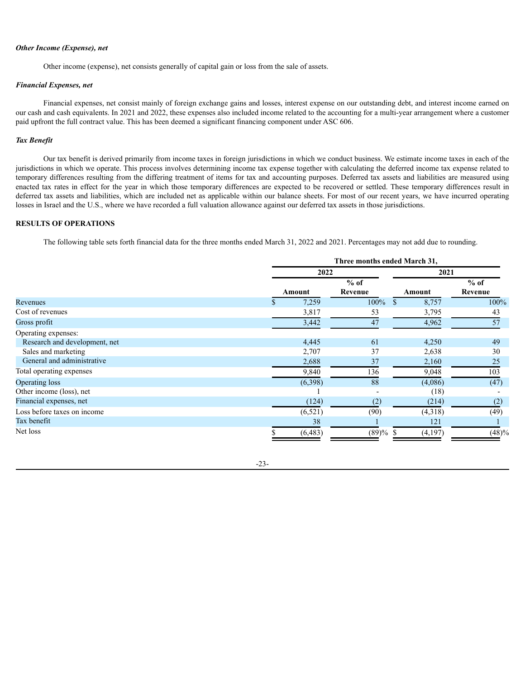## *Other Income (Expense), net*

Other income (expense), net consists generally of capital gain or loss from the sale of assets.

## *Financial Expenses, net*

Financial expenses, net consist mainly of foreign exchange gains and losses, interest expense on our outstanding debt, and interest income earned on our cash and cash equivalents. In 2021 and 2022, these expenses also included income related to the accounting for a multi-year arrangement where a customer paid upfront the full contract value. This has been deemed a significant financing component under ASC 606.

## *Tax Benefit*

Our tax benefit is derived primarily from income taxes in foreign jurisdictions in which we conduct business. We estimate income taxes in each of the jurisdictions in which we operate. This process involves determining income tax expense together with calculating the deferred income tax expense related to temporary differences resulting from the differing treatment of items for tax and accounting purposes. Deferred tax assets and liabilities are measured using enacted tax rates in effect for the year in which those temporary differences are expected to be recovered or settled. These temporary differences result in deferred tax assets and liabilities, which are included net as applicable within our balance sheets. For most of our recent years, we have incurred operating losses in Israel and the U.S., where we have recorded a full valuation allowance against our deferred tax assets in those jurisdictions.

# **RESULTS OF OPERATIONS**

The following table sets forth financial data for the three months ended March 31, 2022 and 2021. Percentages may not add due to rounding.

|                               |          | Three months ended March 31, |             |         |  |
|-------------------------------|----------|------------------------------|-------------|---------|--|
|                               |          | 2022                         |             | 2021    |  |
|                               |          | $%$ of                       |             | $%$ of  |  |
|                               | Amount   | Revenue                      | Amount      | Revenue |  |
| Revenues                      | 7,259    | 100%                         | 8,757<br>-S | 100%    |  |
| Cost of revenues              | 3,817    | 53                           | 3,795       | 43      |  |
| Gross profit                  | 3,442    | 47                           | 4,962       | 57      |  |
| Operating expenses:           |          |                              |             |         |  |
| Research and development, net | 4,445    | 61                           | 4,250       | 49      |  |
| Sales and marketing           | 2,707    | 37                           | 2,638       | 30      |  |
| General and administrative    | 2,688    | 37                           | 2,160       | 25      |  |
| Total operating expenses      | 9,840    | 136                          | 9,048       | 103     |  |
| <b>Operating loss</b>         | (6,398)  | 88                           | (4,086)     | (47)    |  |
| Other income (loss), net      |          | $\overline{\phantom{a}}$     | (18)        |         |  |
| Financial expenses, net       | (124)    | (2)                          | (214)       | (2)     |  |
| Loss before taxes on income   | (6,521)  | (90)                         | (4,318)     | (49)    |  |
| Tax benefit                   | 38       |                              | 121         |         |  |
| Net loss                      | (6, 483) | $(89) \%$ \$                 | (4,197)     | (48)%   |  |

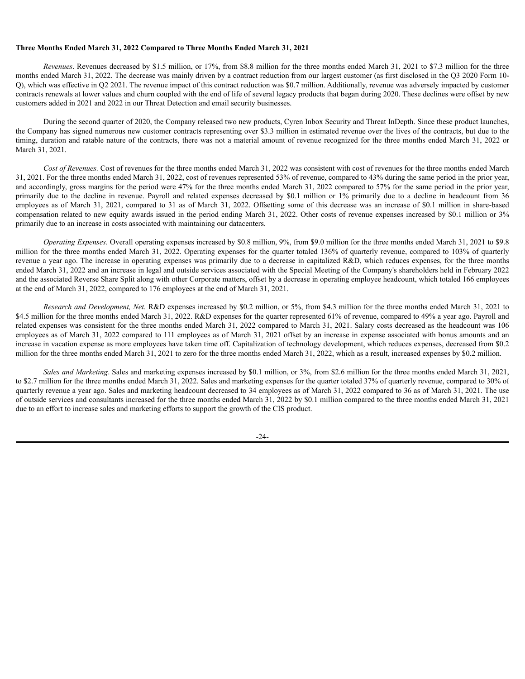## **Three Months Ended March 31, 2022 Compared to Three Months Ended March 31, 2021**

*Revenues*. Revenues decreased by \$1.5 million, or 17%, from \$8.8 million for the three months ended March 31, 2021 to \$7.3 million for the three months ended March 31, 2022. The decrease was mainly driven by a contract reduction from our largest customer (as first disclosed in the Q3 2020 Form 10- Q), which was effective in Q2 2021. The revenue impact of this contract reduction was \$0.7 million. Additionally, revenue was adversely impacted by customer contracts renewals at lower values and churn coupled with the end of life of several legacy products that began during 2020. These declines were offset by new customers added in 2021 and 2022 in our Threat Detection and email security businesses.

During the second quarter of 2020, the Company released two new products, Cyren Inbox Security and Threat InDepth. Since these product launches, the Company has signed numerous new customer contracts representing over \$3.3 million in estimated revenue over the lives of the contracts, but due to the timing, duration and ratable nature of the contracts, there was not a material amount of revenue recognized for the three months ended March 31, 2022 or March 31, 2021.

*Cost of Revenues.* Cost of revenues for the three months ended March 31, 2022 was consistent with cost of revenues for the three months ended March 31, 2021. For the three months ended March 31, 2022, cost of revenues represented 53% of revenue, compared to 43% during the same period in the prior year, and accordingly, gross margins for the period were 47% for the three months ended March 31, 2022 compared to 57% for the same period in the prior year, primarily due to the decline in revenue. Payroll and related expenses decreased by \$0.1 million or 1% primarily due to a decline in headcount from 36 employees as of March 31, 2021, compared to 31 as of March 31, 2022. Offsetting some of this decrease was an increase of \$0.1 million in share-based compensation related to new equity awards issued in the period ending March 31, 2022. Other costs of revenue expenses increased by \$0.1 million or 3% primarily due to an increase in costs associated with maintaining our datacenters.

*Operating Expenses.* Overall operating expenses increased by \$0.8 million, 9%, from \$9.0 million for the three months ended March 31, 2021 to \$9.8 million for the three months ended March 31, 2022. Operating expenses for the quarter totaled 136% of quarterly revenue, compared to 103% of quarterly revenue a year ago. The increase in operating expenses was primarily due to a decrease in capitalized R&D, which reduces expenses, for the three months ended March 31, 2022 and an increase in legal and outside services associated with the Special Meeting of the Company's shareholders held in February 2022 and the associated Reverse Share Split along with other Corporate matters, offset by a decrease in operating employee headcount, which totaled 166 employees at the end of March 31, 2022, compared to 176 employees at the end of March 31, 2021.

*Research and Development, Net.* R&D expenses increased by \$0.2 million, or 5%, from \$4.3 million for the three months ended March 31, 2021 to \$4.5 million for the three months ended March 31, 2022. R&D expenses for the quarter represented 61% of revenue, compared to 49% a year ago. Payroll and related expenses was consistent for the three months ended March 31, 2022 compared to March 31, 2021. Salary costs decreased as the headcount was 106 employees as of March 31, 2022 compared to 111 employees as of March 31, 2021 offset by an increase in expense associated with bonus amounts and an increase in vacation expense as more employees have taken time off. Capitalization of technology development, which reduces expenses, decreased from \$0.2 million for the three months ended March 31, 2021 to zero for the three months ended March 31, 2022, which as a result, increased expenses by \$0.2 million.

*Sales and Marketing*. Sales and marketing expenses increased by \$0.1 million, or 3%, from \$2.6 million for the three months ended March 31, 2021, to \$2.7 million for the three months ended March 31, 2022. Sales and marketing expenses for the quarter totaled 37% of quarterly revenue, compared to 30% of quarterly revenue a year ago. Sales and marketing headcount decreased to 34 employees as of March 31, 2022 compared to 36 as of March 31, 2021. The use of outside services and consultants increased for the three months ended March 31, 2022 by \$0.1 million compared to the three months ended March 31, 2021 due to an effort to increase sales and marketing efforts to support the growth of the CIS product.

-24-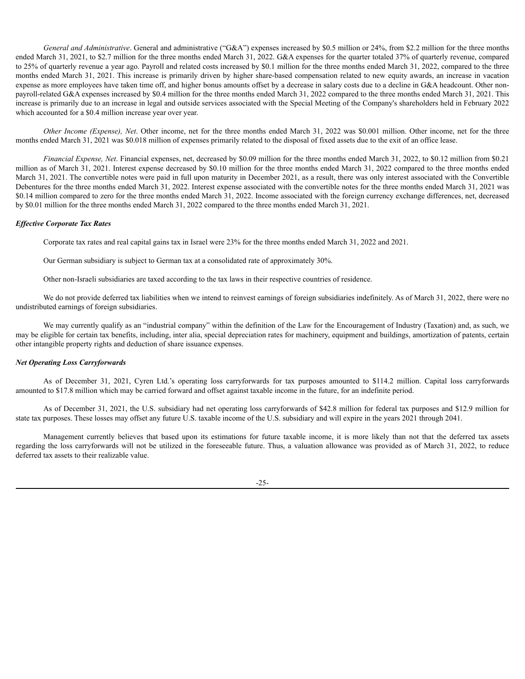*General and Administrative*. General and administrative ("G&A") expenses increased by \$0.5 million or 24%, from \$2.2 million for the three months ended March 31, 2021, to \$2.7 million for the three months ended March 31, 2022. G&A expenses for the quarter totaled 37% of quarterly revenue, compared to 25% of quarterly revenue a year ago. Payroll and related costs increased by \$0.1 million for the three months ended March 31, 2022, compared to the three months ended March 31, 2021. This increase is primarily driven by higher share-based compensation related to new equity awards, an increase in vacation expense as more employees have taken time off, and higher bonus amounts offset by a decrease in salary costs due to a decline in G&A headcount. Other nonpayroll-related G&A expenses increased by \$0.4 million for the three months ended March 31, 2022 compared to the three months ended March 31, 2021. This increase is primarily due to an increase in legal and outside services associated with the Special Meeting of the Company's shareholders held in February 2022 which accounted for a \$0.4 million increase year over year.

*Other Income (Expense), Net*. Other income, net for the three months ended March 31, 2022 was \$0.001 million. Other income, net for the three months ended March 31, 2021 was \$0.018 million of expenses primarily related to the disposal of fixed assets due to the exit of an office lease.

*Financial Expense, Net*. Financial expenses, net, decreased by \$0.09 million for the three months ended March 31, 2022, to \$0.12 million from \$0.21 million as of March 31, 2021. Interest expense decreased by \$0.10 million for the three months ended March 31, 2022 compared to the three months ended March 31, 2021. The convertible notes were paid in full upon maturity in December 2021, as a result, there was only interest associated with the Convertible Debentures for the three months ended March 31, 2022. Interest expense associated with the convertible notes for the three months ended March 31, 2021 was \$0.14 million compared to zero for the three months ended March 31, 2022. Income associated with the foreign currency exchange differences, net, decreased by \$0.01 million for the three months ended March 31, 2022 compared to the three months ended March 31, 2021.

### *Ef ective Corporate Tax Rates*

Corporate tax rates and real capital gains tax in Israel were 23% for the three months ended March 31, 2022 and 2021.

Our German subsidiary is subject to German tax at a consolidated rate of approximately 30%.

Other non-Israeli subsidiaries are taxed according to the tax laws in their respective countries of residence.

We do not provide deferred tax liabilities when we intend to reinvest earnings of foreign subsidiaries indefinitely. As of March 31, 2022, there were no undistributed earnings of foreign subsidiaries.

We may currently qualify as an "industrial company" within the definition of the Law for the Encouragement of Industry (Taxation) and, as such, we may be eligible for certain tax benefits, including, inter alia, special depreciation rates for machinery, equipment and buildings, amortization of patents, certain other intangible property rights and deduction of share issuance expenses.

## *Net Operating Loss Carryforwards*

As of December 31, 2021, Cyren Ltd.'s operating loss carryforwards for tax purposes amounted to \$114.2 million. Capital loss carryforwards amounted to \$17.8 million which may be carried forward and offset against taxable income in the future, for an indefinite period.

As of December 31, 2021, the U.S. subsidiary had net operating loss carryforwards of \$42.8 million for federal tax purposes and \$12.9 million for state tax purposes. These losses may offset any future U.S. taxable income of the U.S. subsidiary and will expire in the years 2021 through 2041.

Management currently believes that based upon its estimations for future taxable income, it is more likely than not that the deferred tax assets regarding the loss carryforwards will not be utilized in the foreseeable future. Thus, a valuation allowance was provided as of March 31, 2022, to reduce deferred tax assets to their realizable value.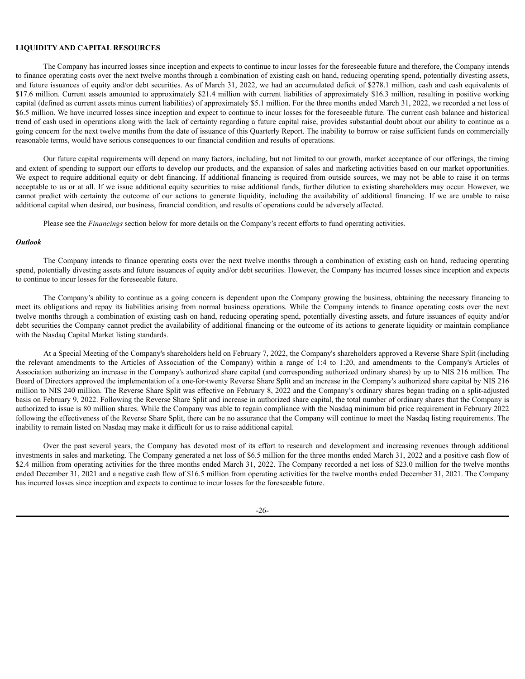## **LIQUIDITY AND CAPITAL RESOURCES**

The Company has incurred losses since inception and expects to continue to incur losses for the foreseeable future and therefore, the Company intends to finance operating costs over the next twelve months through a combination of existing cash on hand, reducing operating spend, potentially divesting assets, and future issuances of equity and/or debt securities. As of March 31, 2022, we had an accumulated deficit of \$278.1 million, cash and cash equivalents of \$17.6 million. Current assets amounted to approximately \$21.4 million with current liabilities of approximately \$16.3 million, resulting in positive working capital (defined as current assets minus current liabilities) of approximately \$5.1 million. For the three months ended March 31, 2022, we recorded a net loss of \$6.5 million. We have incurred losses since inception and expect to continue to incur losses for the foreseeable future. The current cash balance and historical trend of cash used in operations along with the lack of certainty regarding a future capital raise, provides substantial doubt about our ability to continue as a going concern for the next twelve months from the date of issuance of this Quarterly Report. The inability to borrow or raise sufficient funds on commercially reasonable terms, would have serious consequences to our financial condition and results of operations.

Our future capital requirements will depend on many factors, including, but not limited to our growth, market acceptance of our offerings, the timing and extent of spending to support our efforts to develop our products, and the expansion of sales and marketing activities based on our market opportunities. We expect to require additional equity or debt financing. If additional financing is required from outside sources, we may not be able to raise it on terms acceptable to us or at all. If we issue additional equity securities to raise additional funds, further dilution to existing shareholders may occur. However, we cannot predict with certainty the outcome of our actions to generate liquidity, including the availability of additional financing. If we are unable to raise additional capital when desired, our business, financial condition, and results of operations could be adversely affected.

Please see the *Financings* section below for more details on the Company's recent efforts to fund operating activities.

### *Outlook*

The Company intends to finance operating costs over the next twelve months through a combination of existing cash on hand, reducing operating spend, potentially divesting assets and future issuances of equity and/or debt securities. However, the Company has incurred losses since inception and expects to continue to incur losses for the foreseeable future.

The Company's ability to continue as a going concern is dependent upon the Company growing the business, obtaining the necessary financing to meet its obligations and repay its liabilities arising from normal business operations. While the Company intends to finance operating costs over the next twelve months through a combination of existing cash on hand, reducing operating spend, potentially divesting assets, and future issuances of equity and/or debt securities the Company cannot predict the availability of additional financing or the outcome of its actions to generate liquidity or maintain compliance with the Nasdaq Capital Market listing standards.

At a Special Meeting of the Company's shareholders held on February 7, 2022, the Company's shareholders approved a Reverse Share Split (including the relevant amendments to the Articles of Association of the Company) within a range of 1:4 to 1:20, and amendments to the Company's Articles of Association authorizing an increase in the Company's authorized share capital (and corresponding authorized ordinary shares) by up to NIS 216 million. The Board of Directors approved the implementation of a one-for-twenty Reverse Share Split and an increase in the Company's authorized share capital by NIS 216 million to NIS 240 million. The Reverse Share Split was effective on February 8, 2022 and the Company's ordinary shares began trading on a split-adjusted basis on February 9, 2022. Following the Reverse Share Split and increase in authorized share capital, the total number of ordinary shares that the Company is authorized to issue is 80 million shares. While the Company was able to regain compliance with the Nasdaq minimum bid price requirement in February 2022 following the effectiveness of the Reverse Share Split, there can be no assurance that the Company will continue to meet the Nasdaq listing requirements. The inability to remain listed on Nasdaq may make it difficult for us to raise additional capital.

Over the past several years, the Company has devoted most of its effort to research and development and increasing revenues through additional investments in sales and marketing. The Company generated a net loss of \$6.5 million for the three months ended March 31, 2022 and a positive cash flow of \$2.4 million from operating activities for the three months ended March 31, 2022. The Company recorded a net loss of \$23.0 million for the twelve months ended December 31, 2021 and a negative cash flow of \$16.5 million from operating activities for the twelve months ended December 31, 2021. The Company has incurred losses since inception and expects to continue to incur losses for the foreseeable future.

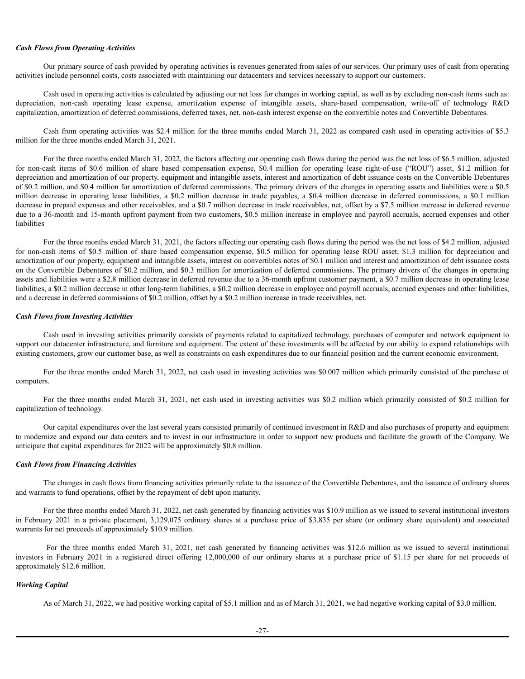## *Cash Flows from Operating Activities*

Our primary source of cash provided by operating activities is revenues generated from sales of our services. Our primary uses of cash from operating activities include personnel costs, costs associated with maintaining our datacenters and services necessary to support our customers.

Cash used in operating activities is calculated by adjusting our net loss for changes in working capital, as well as by excluding non-cash items such as: depreciation, non-cash operating lease expense, amortization expense of intangible assets, share-based compensation, write-off of technology R&D capitalization, amortization of deferred commissions, deferred taxes, net, non-cash interest expense on the convertible notes and Convertible Debentures.

Cash from operating activities was \$2.4 million for the three months ended March 31, 2022 as compared cash used in operating activities of \$5.3 million for the three months ended March 31, 2021.

For the three months ended March 31, 2022, the factors affecting our operating cash flows during the period was the net loss of \$6.5 million, adjusted for non-cash items of \$0.6 million of share based compensation expense, \$0.4 million for operating lease right-of-use ("ROU") asset, \$1.2 million for depreciation and amortization of our property, equipment and intangible assets, interest and amortization of debt issuance costs on the Convertible Debentures of \$0.2 million, and \$0.4 million for amortization of deferred commissions. The primary drivers of the changes in operating assets and liabilities were a \$0.5 million decrease in operating lease liabilities, a \$0.2 million decrease in trade payables, a \$0.4 million decrease in deferred commissions, a \$0.1 million decrease in prepaid expenses and other receivables, and a \$0.7 million decrease in trade receivables, net, offset by a \$7.5 million increase in deferred revenue due to a 36-month and 15-month upfront payment from two customers, \$0.5 million increase in employee and payroll accruals, accrued expenses and other liabilities

For the three months ended March 31, 2021, the factors affecting our operating cash flows during the period was the net loss of \$4.2 million, adjusted for non-cash items of \$0.5 million of share based compensation expense, \$0.5 million for operating lease ROU asset, \$1.3 million for depreciation and amortization of our property, equipment and intangible assets, interest on convertibles notes of \$0.1 million and interest and amortization of debt issuance costs on the Convertible Debentures of \$0.2 million, and \$0.3 million for amortization of deferred commissions. The primary drivers of the changes in operating assets and liabilities were a \$2.8 million decrease in deferred revenue due to a 36-month upfront customer payment, a \$0.7 million decrease in operating lease liabilities, a \$0.2 million decrease in other long-term liabilities, a \$0.2 million decrease in employee and payroll accruals, accrued expenses and other liabilities, and a decrease in deferred commissions of \$0.2 million, offset by a \$0.2 million increase in trade receivables, net.

#### *Cash Flows from Investing Activities*

Cash used in investing activities primarily consists of payments related to capitalized technology, purchases of computer and network equipment to support our datacenter infrastructure, and furniture and equipment. The extent of these investments will be affected by our ability to expand relationships with existing customers, grow our customer base, as well as constraints on cash expenditures due to our financial position and the current economic environment.

For the three months ended March 31, 2022, net cash used in investing activities was \$0.007 million which primarily consisted of the purchase of computers.

For the three months ended March 31, 2021, net cash used in investing activities was \$0.2 million which primarily consisted of \$0.2 million for capitalization of technology.

Our capital expenditures over the last several years consisted primarily of continued investment in R&D and also purchases of property and equipment to modernize and expand our data centers and to invest in our infrastructure in order to support new products and facilitate the growth of the Company. We anticipate that capital expenditures for 2022 will be approximately \$0.8 million.

# *Cash Flows from Financing Activities*

The changes in cash flows from financing activities primarily relate to the issuance of the Convertible Debentures, and the issuance of ordinary shares and warrants to fund operations, offset by the repayment of debt upon maturity.

For the three months ended March 31, 2022, net cash generated by financing activities was \$10.9 million as we issued to several institutional investors in February 2021 in a private placement, 3,129,075 ordinary shares at a purchase price of \$3.835 per share (or ordinary share equivalent) and associated warrants for net proceeds of approximately \$10.9 million.

For the three months ended March 31, 2021, net cash generated by financing activities was \$12.6 million as we issued to several institutional investors in February 2021 in a registered direct offering 12,000,000 of our ordinary shares at a purchase price of \$1.15 per share for net proceeds of approximately \$12.6 million.

## *Working Capital*

As of March 31, 2022, we had positive working capital of \$5.1 million and as of March 31, 2021, we had negative working capital of \$3.0 million.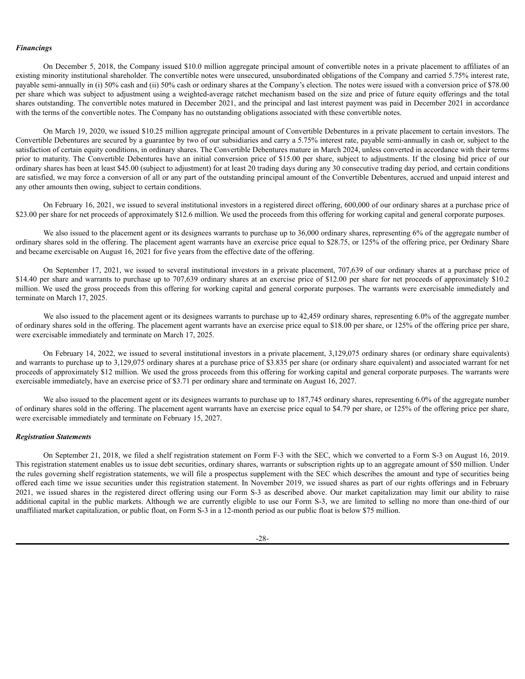## *Financings*

On December 5, 2018, the Company issued \$10.0 million aggregate principal amount of convertible notes in a private placement to affiliates of an existing minority institutional shareholder. The convertible notes were unsecured, unsubordinated obligations of the Company and carried 5.75% interest rate, payable semi-annually in (i) 50% cash and (ii) 50% cash or ordinary shares at the Company's election. The notes were issued with a conversion price of \$78.00 per share which was subject to adjustment using a weighted-average ratchet mechanism based on the size and price of future equity offerings and the total shares outstanding. The convertible notes matured in December 2021, and the principal and last interest payment was paid in December 2021 in accordance with the terms of the convertible notes. The Company has no outstanding obligations associated with these convertible notes.

On March 19, 2020, we issued \$10.25 million aggregate principal amount of Convertible Debentures in a private placement to certain investors. The Convertible Debentures are secured by a guarantee by two of our subsidiaries and carry a 5.75% interest rate, payable semi-annually in cash or, subject to the satisfaction of certain equity conditions, in ordinary shares. The Convertible Debentures mature in March 2024, unless converted in accordance with their terms prior to maturity. The Convertible Debentures have an initial conversion price of \$15.00 per share, subject to adjustments. If the closing bid price of our ordinary shares has been at least \$45.00 (subject to adjustment) for at least 20 trading days during any 30 consecutive trading day period, and certain conditions are satisfied, we may force a conversion of all or any part of the outstanding principal amount of the Convertible Debentures, accrued and unpaid interest and any other amounts then owing, subject to certain conditions.

On February 16, 2021, we issued to several institutional investors in a registered direct offering, 600,000 of our ordinary shares at a purchase price of \$23.00 per share for net proceeds of approximately \$12.6 million. We used the proceeds from this offering for working capital and general corporate purposes.

We also issued to the placement agent or its designees warrants to purchase up to 36,000 ordinary shares, representing 6% of the aggregate number of ordinary shares sold in the offering. The placement agent warrants have an exercise price equal to \$28.75, or 125% of the offering price, per Ordinary Share and became exercisable on August 16, 2021 for five years from the effective date of the offering.

On September 17, 2021, we issued to several institutional investors in a private placement, 707,639 of our ordinary shares at a purchase price of \$14.40 per share and warrants to purchase up to 707,639 ordinary shares at an exercise price of \$12.00 per share for net proceeds of approximately \$10.2 million. We used the gross proceeds from this offering for working capital and general corporate purposes. The warrants were exercisable immediately and terminate on March 17, 2025.

We also issued to the placement agent or its designees warrants to purchase up to 42,459 ordinary shares, representing 6.0% of the aggregate number of ordinary shares sold in the offering. The placement agent warrants have an exercise price equal to \$18.00 per share, or 125% of the offering price per share, were exercisable immediately and terminate on March 17, 2025.

On February 14, 2022, we issued to several institutional investors in a private placement, 3,129,075 ordinary shares (or ordinary share equivalents) and warrants to purchase up to 3,129,075 ordinary shares at a purchase price of \$3.835 per share (or ordinary share equivalent) and associated warrant for net proceeds of approximately \$12 million. We used the gross proceeds from this offering for working capital and general corporate purposes. The warrants were exercisable immediately, have an exercise price of \$3.71 per ordinary share and terminate on August 16, 2027.

We also issued to the placement agent or its designees warrants to purchase up to 187,745 ordinary shares, representing 6.0% of the aggregate number of ordinary shares sold in the offering. The placement agent warrants have an exercise price equal to \$4.79 per share, or 125% of the offering price per share, were exercisable immediately and terminate on February 15, 2027.

#### *Registration Statements*

On September 21, 2018, we filed a shelf registration statement on Form F-3 with the SEC, which we converted to a Form S-3 on August 16, 2019. This registration statement enables us to issue debt securities, ordinary shares, warrants or subscription rights up to an aggregate amount of \$50 million. Under the rules governing shelf registration statements, we will file a prospectus supplement with the SEC which describes the amount and type of securities being offered each time we issue securities under this registration statement. In November 2019, we issued shares as part of our rights offerings and in February 2021, we issued shares in the registered direct offering using our Form S-3 as described above. Our market capitalization may limit our ability to raise additional capital in the public markets. Although we are currently eligible to use our Form S-3, we are limited to selling no more than one-third of our unaffiliated market capitalization, or public float, on Form S-3 in a 12-month period as our public float is below \$75 million.

-28-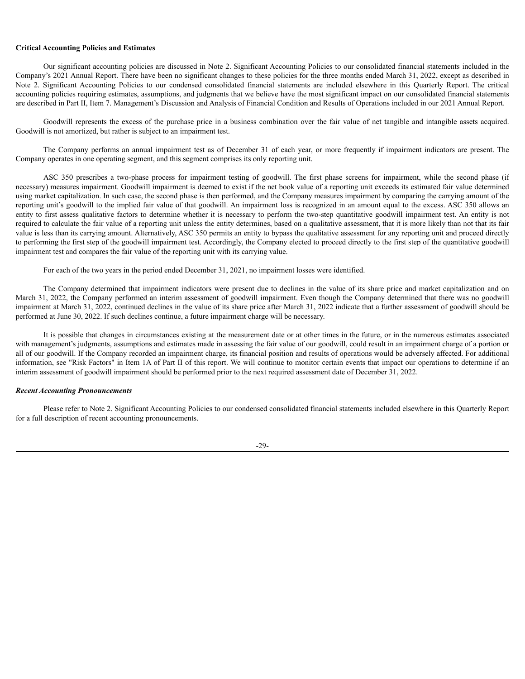## **Critical Accounting Policies and Estimates**

Our significant accounting policies are discussed in Note 2. Significant Accounting Policies to our consolidated financial statements included in the Company's 2021 Annual Report. There have been no significant changes to these policies for the three months ended March 31, 2022, except as described in Note 2. Significant Accounting Policies to our condensed consolidated financial statements are included elsewhere in this Quarterly Report. The critical accounting policies requiring estimates, assumptions, and judgments that we believe have the most significant impact on our consolidated financial statements are described in Part II, Item 7. Management's Discussion and Analysis of Financial Condition and Results of Operations included in our 2021 Annual Report.

Goodwill represents the excess of the purchase price in a business combination over the fair value of net tangible and intangible assets acquired. Goodwill is not amortized, but rather is subject to an impairment test.

The Company performs an annual impairment test as of December 31 of each year, or more frequently if impairment indicators are present. The Company operates in one operating segment, and this segment comprises its only reporting unit.

ASC 350 prescribes a two-phase process for impairment testing of goodwill. The first phase screens for impairment, while the second phase (if necessary) measures impairment. Goodwill impairment is deemed to exist if the net book value of a reporting unit exceeds its estimated fair value determined using market capitalization. In such case, the second phase is then performed, and the Company measures impairment by comparing the carrying amount of the reporting unit's goodwill to the implied fair value of that goodwill. An impairment loss is recognized in an amount equal to the excess. ASC 350 allows an entity to first assess qualitative factors to determine whether it is necessary to perform the two-step quantitative goodwill impairment test. An entity is not required to calculate the fair value of a reporting unit unless the entity determines, based on a qualitative assessment, that it is more likely than not that its fair value is less than its carrying amount. Alternatively, ASC 350 permits an entity to bypass the qualitative assessment for any reporting unit and proceed directly to performing the first step of the goodwill impairment test. Accordingly, the Company elected to proceed directly to the first step of the quantitative goodwill impairment test and compares the fair value of the reporting unit with its carrying value.

For each of the two years in the period ended December 31, 2021, no impairment losses were identified.

The Company determined that impairment indicators were present due to declines in the value of its share price and market capitalization and on March 31, 2022, the Company performed an interim assessment of goodwill impairment. Even though the Company determined that there was no goodwill impairment at March 31, 2022, continued declines in the value of its share price after March 31, 2022 indicate that a further assessment of goodwill should be performed at June 30, 2022. If such declines continue, a future impairment charge will be necessary.

It is possible that changes in circumstances existing at the measurement date or at other times in the future, or in the numerous estimates associated with management's judgments, assumptions and estimates made in assessing the fair value of our goodwill, could result in an impairment charge of a portion or all of our goodwill. If the Company recorded an impairment charge, its financial position and results of operations would be adversely affected. For additional information, see "Risk Factors" in Item 1A of Part II of this report. We will continue to monitor certain events that impact our operations to determine if an interim assessment of goodwill impairment should be performed prior to the next required assessment date of December 31, 2022.

## *Recent Accounting Pronouncements*

Please refer to Note 2. Significant Accounting Policies to our condensed consolidated financial statements included elsewhere in this Quarterly Report for a full description of recent accounting pronouncements.

-29-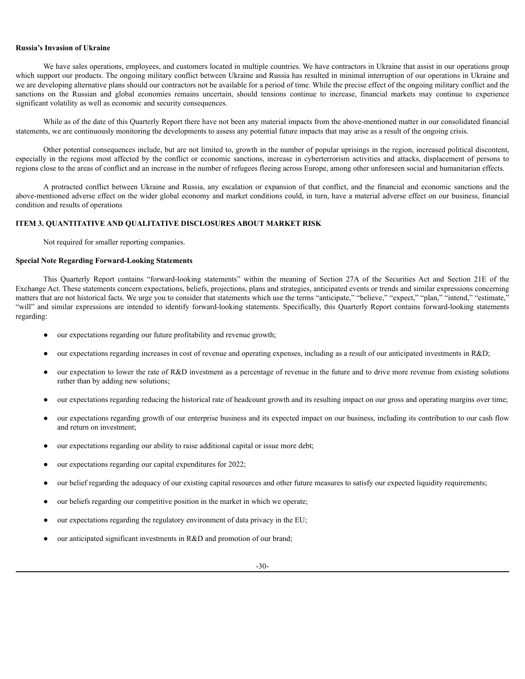## **Russia's Invasion of Ukraine**

We have sales operations, employees, and customers located in multiple countries. We have contractors in Ukraine that assist in our operations group which support our products. The ongoing military conflict between Ukraine and Russia has resulted in minimal interruption of our operations in Ukraine and we are developing alternative plans should our contractors not be available for a period of time. While the precise effect of the ongoing military conflict and the sanctions on the Russian and global economies remains uncertain, should tensions continue to increase, financial markets may continue to experience significant volatility as well as economic and security consequences.

While as of the date of this Quarterly Report there have not been any material impacts from the above-mentioned matter in our consolidated financial statements, we are continuously monitoring the developments to assess any potential future impacts that may arise as a result of the ongoing crisis.

Other potential consequences include, but are not limited to, growth in the number of popular uprisings in the region, increased political discontent, especially in the regions most affected by the conflict or economic sanctions, increase in cyberterrorism activities and attacks, displacement of persons to regions close to the areas of conflict and an increase in the number of refugees fleeing across Europe, among other unforeseen social and humanitarian effects.

A protracted conflict between Ukraine and Russia, any escalation or expansion of that conflict, and the financial and economic sanctions and the above-mentioned adverse effect on the wider global economy and market conditions could, in turn, have a material adverse effect on our business, financial condition and results of operations

## **ITEM 3. QUANTITATIVE AND QUALITATIVE DISCLOSURES ABOUT MARKET RISK**

Not required for smaller reporting companies.

## **Special Note Regarding Forward-Looking Statements**

This Quarterly Report contains "forward-looking statements" within the meaning of Section 27A of the Securities Act and Section 21E of the Exchange Act. These statements concern expectations, beliefs, projections, plans and strategies, anticipated events or trends and similar expressions concerning matters that are not historical facts. We urge you to consider that statements which use the terms "anticipate," "believe," "expect," "plan," "intend," "estimate," "will" and similar expressions are intended to identify forward-looking statements. Specifically, this Quarterly Report contains forward-looking statements regarding:

- our expectations regarding our future profitability and revenue growth;
- our expectations regarding increases in cost of revenue and operating expenses, including as a result of our anticipated investments in R&D;
- our expectation to lower the rate of R&D investment as a percentage of revenue in the future and to drive more revenue from existing solutions rather than by adding new solutions;
- our expectations regarding reducing the historical rate of headcount growth and its resulting impact on our gross and operating margins over time;
- our expectations regarding growth of our enterprise business and its expected impact on our business, including its contribution to our cash flow and return on investment;
- our expectations regarding our ability to raise additional capital or issue more debt;
- our expectations regarding our capital expenditures for 2022;
- our belief regarding the adequacy of our existing capital resources and other future measures to satisfy our expected liquidity requirements;
- our beliefs regarding our competitive position in the market in which we operate;
- our expectations regarding the regulatory environment of data privacy in the EU;
- our anticipated significant investments in R&D and promotion of our brand;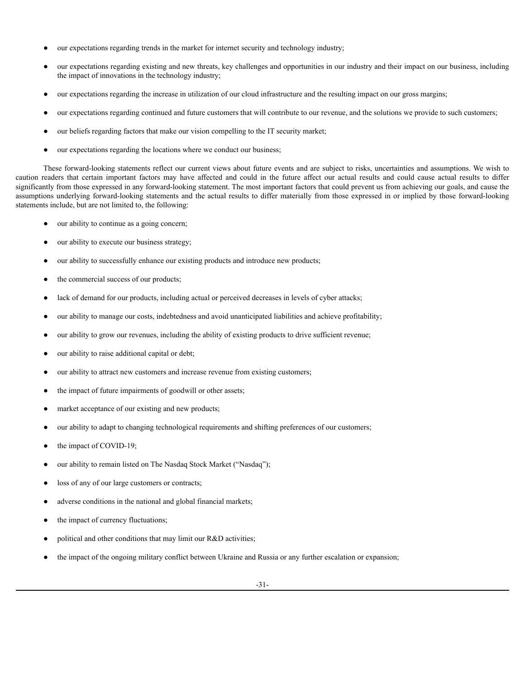- our expectations regarding trends in the market for internet security and technology industry;
- our expectations regarding existing and new threats, key challenges and opportunities in our industry and their impact on our business, including the impact of innovations in the technology industry;
- our expectations regarding the increase in utilization of our cloud infrastructure and the resulting impact on our gross margins;
- our expectations regarding continued and future customers that will contribute to our revenue, and the solutions we provide to such customers;
- our beliefs regarding factors that make our vision compelling to the IT security market;
- our expectations regarding the locations where we conduct our business;

These forward-looking statements reflect our current views about future events and are subject to risks, uncertainties and assumptions. We wish to caution readers that certain important factors may have affected and could in the future affect our actual results and could cause actual results to differ significantly from those expressed in any forward-looking statement. The most important factors that could prevent us from achieving our goals, and cause the assumptions underlying forward-looking statements and the actual results to differ materially from those expressed in or implied by those forward-looking statements include, but are not limited to, the following:

- our ability to continue as a going concern;
- our ability to execute our business strategy;
- our ability to successfully enhance our existing products and introduce new products;
- the commercial success of our products;
- lack of demand for our products, including actual or perceived decreases in levels of cyber attacks;
- our ability to manage our costs, indebtedness and avoid unanticipated liabilities and achieve profitability;
- our ability to grow our revenues, including the ability of existing products to drive sufficient revenue;
- our ability to raise additional capital or debt;
- our ability to attract new customers and increase revenue from existing customers;
- the impact of future impairments of goodwill or other assets;
- market acceptance of our existing and new products;
- our ability to adapt to changing technological requirements and shifting preferences of our customers;
- the impact of COVID-19;
- our ability to remain listed on The Nasdaq Stock Market ("Nasdaq");
- loss of any of our large customers or contracts;
- adverse conditions in the national and global financial markets;
- the impact of currency fluctuations;
- political and other conditions that may limit our R&D activities;
- the impact of the ongoing military conflict between Ukraine and Russia or any further escalation or expansion;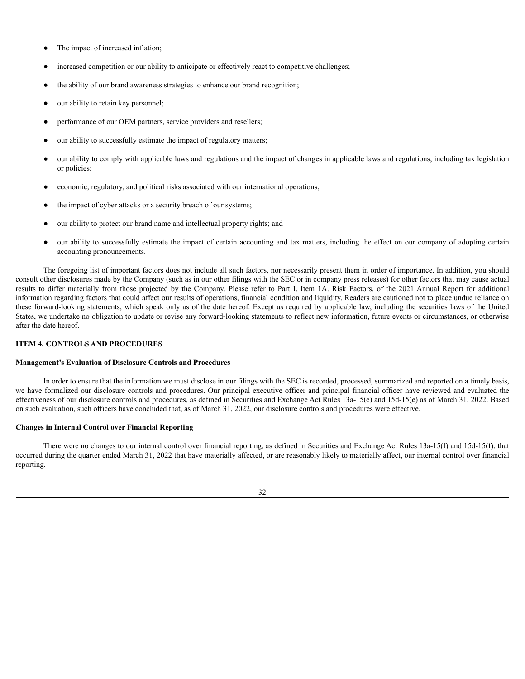- The impact of increased inflation;
- increased competition or our ability to anticipate or effectively react to competitive challenges;
- the ability of our brand awareness strategies to enhance our brand recognition;
- our ability to retain key personnel;
- performance of our OEM partners, service providers and resellers;
- our ability to successfully estimate the impact of regulatory matters;
- our ability to comply with applicable laws and regulations and the impact of changes in applicable laws and regulations, including tax legislation or policies;
- economic, regulatory, and political risks associated with our international operations;
- the impact of cyber attacks or a security breach of our systems;
- our ability to protect our brand name and intellectual property rights; and
- our ability to successfully estimate the impact of certain accounting and tax matters, including the effect on our company of adopting certain accounting pronouncements.

The foregoing list of important factors does not include all such factors, nor necessarily present them in order of importance. In addition, you should consult other disclosures made by the Company (such as in our other filings with the SEC or in company press releases) for other factors that may cause actual results to differ materially from those projected by the Company. Please refer to Part I. Item 1A. Risk Factors, of the 2021 Annual Report for additional information regarding factors that could affect our results of operations, financial condition and liquidity. Readers are cautioned not to place undue reliance on these forward-looking statements, which speak only as of the date hereof. Except as required by applicable law, including the securities laws of the United States, we undertake no obligation to update or revise any forward-looking statements to reflect new information, future events or circumstances, or otherwise after the date hereof.

## <span id="page-34-0"></span>**ITEM 4. CONTROLS AND PROCEDURES**

### **Management's Evaluation of Disclosure Controls and Procedures**

In order to ensure that the information we must disclose in our filings with the SEC is recorded, processed, summarized and reported on a timely basis, we have formalized our disclosure controls and procedures. Our principal executive officer and principal financial officer have reviewed and evaluated the effectiveness of our disclosure controls and procedures, as defined in Securities and Exchange Act Rules 13a-15(e) and 15d-15(e) as of March 31, 2022. Based on such evaluation, such officers have concluded that, as of March 31, 2022, our disclosure controls and procedures were effective.

### **Changes in Internal Control over Financial Reporting**

There were no changes to our internal control over financial reporting, as defined in Securities and Exchange Act Rules 13a-15(f) and 15d-15(f), that occurred during the quarter ended March 31, 2022 that have materially affected, or are reasonably likely to materially affect, our internal control over financial reporting.

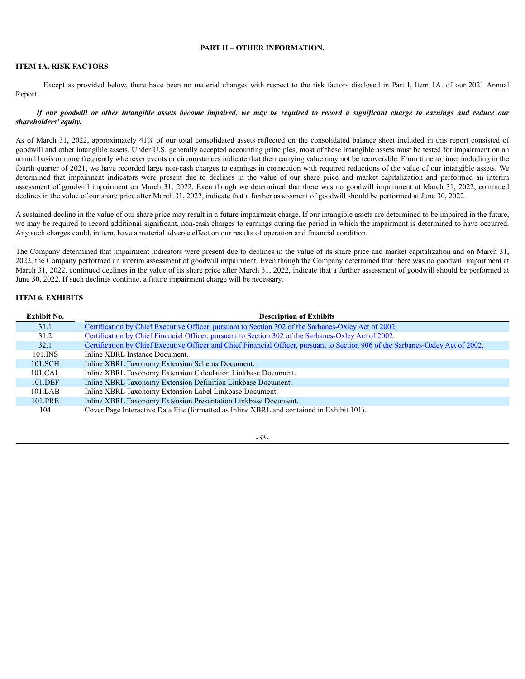## **PART II – OTHER INFORMATION.**

# <span id="page-35-1"></span><span id="page-35-0"></span>**ITEM 1A. RISK FACTORS**

Except as provided below, there have been no material changes with respect to the risk factors disclosed in Part I, Item 1A. of our 2021 Annual Report.

## If our goodwill or other intangible assets become impaired, we may be required to record a significant charge to earnings and reduce our *shareholders' equity.*

As of March 31, 2022, approximately 41% of our total consolidated assets reflected on the consolidated balance sheet included in this report consisted of goodwill and other intangible assets. Under U.S. generally accepted accounting principles, most of these intangible assets must be tested for impairment on an annual basis or more frequently whenever events or circumstances indicate that their carrying value may not be recoverable. From time to time, including in the fourth quarter of 2021, we have recorded large non-cash charges to earnings in connection with required reductions of the value of our intangible assets. We determined that impairment indicators were present due to declines in the value of our share price and market capitalization and performed an interim assessment of goodwill impairment on March 31, 2022. Even though we determined that there was no goodwill impairment at March 31, 2022, continued declines in the value of our share price after March 31, 2022, indicate that a further assessment of goodwill should be performed at June 30, 2022.

A sustained decline in the value of our share price may result in a future impairment charge. If our intangible assets are determined to be impaired in the future, we may be required to record additional significant, non-cash charges to earnings during the period in which the impairment is determined to have occurred. Any such charges could, in turn, have a material adverse effect on our results of operation and financial condition.

The Company determined that impairment indicators were present due to declines in the value of its share price and market capitalization and on March 31, 2022, the Company performed an interim assessment of goodwill impairment. Even though the Company determined that there was no goodwill impairment at March 31, 2022, continued declines in the value of its share price after March 31, 2022, indicate that a further assessment of goodwill should be performed at June 30, 2022. If such declines continue, a future impairment charge will be necessary.

# <span id="page-35-2"></span>**ITEM 6. EXHIBITS**

| <b>Exhibit No.</b> | <b>Description of Exhibits</b>                                                                                                   |
|--------------------|----------------------------------------------------------------------------------------------------------------------------------|
| 31.1               | Certification by Chief Executive Officer, pursuant to Section 302 of the Sarbanes-Oxley Act of 2002.                             |
| 31.2               | Certification by Chief Financial Officer, pursuant to Section 302 of the Sarbanes-Oxley Act of 2002.                             |
| 32.1               | Certification by Chief Executive Officer and Chief Financial Officer, pursuant to Section 906 of the Sarbanes-Oxley Act of 2002. |
| 101.INS            | Inline XBRL Instance Document.                                                                                                   |
| 101.SCH            | Inline XBRL Taxonomy Extension Schema Document.                                                                                  |
| 101.CAL            | Inline XBRL Taxonomy Extension Calculation Linkbase Document.                                                                    |
| 101.DEF            | Inline XBRL Taxonomy Extension Definition Linkbase Document.                                                                     |
| $101$ LAB          | Inline XBRL Taxonomy Extension Label Linkbase Document.                                                                          |
| 101.PRE            | Inline XBRL Taxonomy Extension Presentation Linkbase Document.                                                                   |
| 104                | Cover Page Interactive Data File (formatted as Inline XBRL and contained in Exhibit 101).                                        |

-33-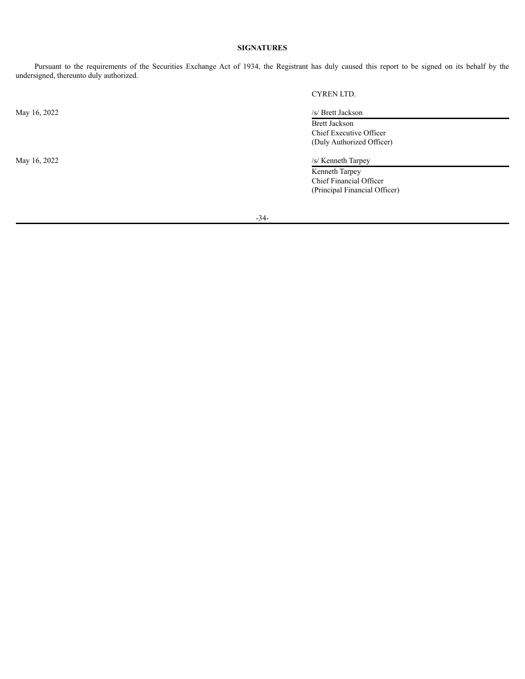# **SIGNATURES**

Pursuant to the requirements of the Securities Exchange Act of 1934, the Registrant has duly caused this report to be signed on its behalf by the undersigned, thereunto duly authorized.

May 16, 2022 /s/ Brett Jackson

CYREN LTD.

Brett Jackson Chief Executive Officer (Duly Authorized Officer)

May 16, 2022 /s/ Kenneth Tarpey

Kenneth Tarpey Chief Financial Officer (Principal Financial Officer)

-34-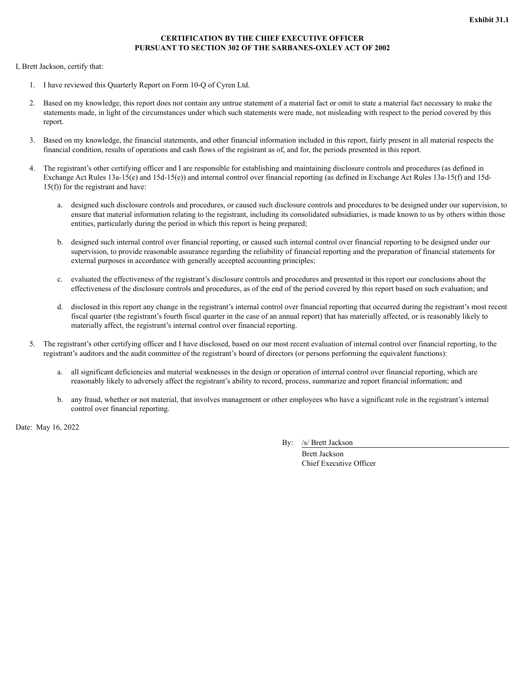# **CERTIFICATION BY THE CHIEF EXECUTIVE OFFICER PURSUANT TO SECTION 302 OF THE SARBANES-OXLEY ACT OF 2002**

<span id="page-37-0"></span>I, Brett Jackson, certify that:

- 1. I have reviewed this Quarterly Report on Form 10-Q of Cyren Ltd.
- 2. Based on my knowledge, this report does not contain any untrue statement of a material fact or omit to state a material fact necessary to make the statements made, in light of the circumstances under which such statements were made, not misleading with respect to the period covered by this report.
- 3. Based on my knowledge, the financial statements, and other financial information included in this report, fairly present in all material respects the financial condition, results of operations and cash flows of the registrant as of, and for, the periods presented in this report.
- 4. The registrant's other certifying officer and I are responsible for establishing and maintaining disclosure controls and procedures (as defined in Exchange Act Rules 13a-15(e) and 15d-15(e)) and internal control over financial reporting (as defined in Exchange Act Rules 13a-15(f) and 15d-15(f)) for the registrant and have:
	- a. designed such disclosure controls and procedures, or caused such disclosure controls and procedures to be designed under our supervision, to ensure that material information relating to the registrant, including its consolidated subsidiaries, is made known to us by others within those entities, particularly during the period in which this report is being prepared;
	- b. designed such internal control over financial reporting, or caused such internal control over financial reporting to be designed under our supervision, to provide reasonable assurance regarding the reliability of financial reporting and the preparation of financial statements for external purposes in accordance with generally accepted accounting principles;
	- c. evaluated the effectiveness of the registrant's disclosure controls and procedures and presented in this report our conclusions about the effectiveness of the disclosure controls and procedures, as of the end of the period covered by this report based on such evaluation; and
	- d. disclosed in this report any change in the registrant's internal control over financial reporting that occurred during the registrant's most recent fiscal quarter (the registrant's fourth fiscal quarter in the case of an annual report) that has materially affected, or is reasonably likely to materially affect, the registrant's internal control over financial reporting.
- 5. The registrant's other certifying officer and I have disclosed, based on our most recent evaluation of internal control over financial reporting, to the registrant's auditors and the audit committee of the registrant's board of directors (or persons performing the equivalent functions):
	- a. all significant deficiencies and material weaknesses in the design or operation of internal control over financial reporting, which are reasonably likely to adversely affect the registrant's ability to record, process, summarize and report financial information; and
	- b. any fraud, whether or not material, that involves management or other employees who have a significant role in the registrant's internal control over financial reporting.

Date: May 16, 2022

By: /s/ Brett Jackson

Brett Jackson Chief Executive Officer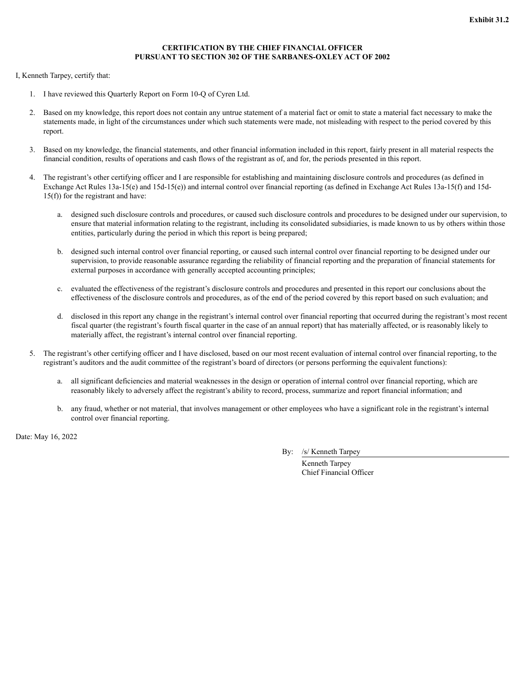# **CERTIFICATION BY THE CHIEF FINANCIAL OFFICER PURSUANT TO SECTION 302 OF THE SARBANES-OXLEY ACT OF 2002**

<span id="page-38-0"></span>I, Kenneth Tarpey, certify that:

- 1. I have reviewed this Quarterly Report on Form 10-Q of Cyren Ltd.
- 2. Based on my knowledge, this report does not contain any untrue statement of a material fact or omit to state a material fact necessary to make the statements made, in light of the circumstances under which such statements were made, not misleading with respect to the period covered by this report.
- 3. Based on my knowledge, the financial statements, and other financial information included in this report, fairly present in all material respects the financial condition, results of operations and cash flows of the registrant as of, and for, the periods presented in this report.
- 4. The registrant's other certifying officer and I are responsible for establishing and maintaining disclosure controls and procedures (as defined in Exchange Act Rules 13a-15(e) and 15d-15(e)) and internal control over financial reporting (as defined in Exchange Act Rules 13a-15(f) and 15d-15(f)) for the registrant and have:
	- a. designed such disclosure controls and procedures, or caused such disclosure controls and procedures to be designed under our supervision, to ensure that material information relating to the registrant, including its consolidated subsidiaries, is made known to us by others within those entities, particularly during the period in which this report is being prepared;
	- b. designed such internal control over financial reporting, or caused such internal control over financial reporting to be designed under our supervision, to provide reasonable assurance regarding the reliability of financial reporting and the preparation of financial statements for external purposes in accordance with generally accepted accounting principles;
	- c. evaluated the effectiveness of the registrant's disclosure controls and procedures and presented in this report our conclusions about the effectiveness of the disclosure controls and procedures, as of the end of the period covered by this report based on such evaluation; and
	- d. disclosed in this report any change in the registrant's internal control over financial reporting that occurred during the registrant's most recent fiscal quarter (the registrant's fourth fiscal quarter in the case of an annual report) that has materially affected, or is reasonably likely to materially affect, the registrant's internal control over financial reporting.
- 5. The registrant's other certifying officer and I have disclosed, based on our most recent evaluation of internal control over financial reporting, to the registrant's auditors and the audit committee of the registrant's board of directors (or persons performing the equivalent functions):
	- a. all significant deficiencies and material weaknesses in the design or operation of internal control over financial reporting, which are reasonably likely to adversely affect the registrant's ability to record, process, summarize and report financial information; and
	- b. any fraud, whether or not material, that involves management or other employees who have a significant role in the registrant's internal control over financial reporting.

Date: May 16, 2022

By: /s/ Kenneth Tarpey

Kenneth Tarpey Chief Financial Officer